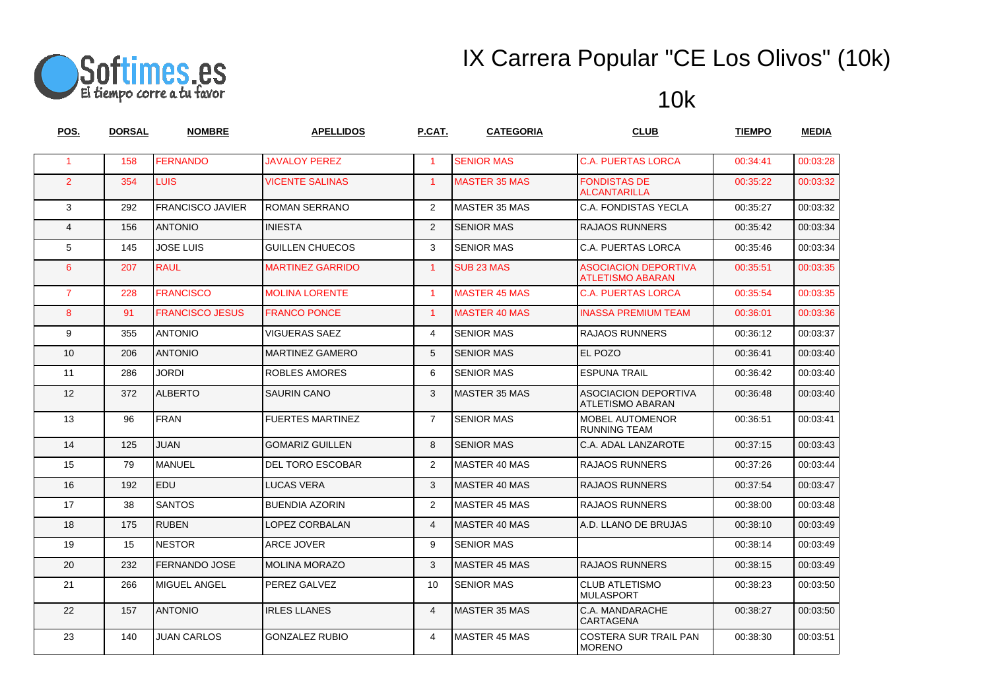

| POS.                 | <b>DORSAL</b> | <b>NOMBRE</b>           | <b>APELLIDOS</b>        | P.CAT.               | <b>CATEGORIA</b>      | <b>CLUB</b>                                            | <b>TIEMPO</b> | <b>MEDIA</b> |
|----------------------|---------------|-------------------------|-------------------------|----------------------|-----------------------|--------------------------------------------------------|---------------|--------------|
| $\blacktriangleleft$ | 158           | <b>FERNANDO</b>         | <b>JAVALOY PEREZ</b>    | $\blacktriangleleft$ | <b>SENIOR MAS</b>     | <b>C.A. PUERTAS LORCA</b>                              | 00:34:41      | 00:03:28     |
| $\overline{2}$       | 354           | <b>LUIS</b>             | <b>VICENTE SALINAS</b>  | $\mathbf{1}$         | <b>MASTER 35 MAS</b>  | <b>FONDISTAS DE</b><br><b>ALCANTARILLA</b>             | 00:35:22      | 00:03:32     |
| 3                    | 292           | <b>FRANCISCO JAVIER</b> | <b>ROMAN SERRANO</b>    | $\overline{2}$       | MASTER 35 MAS         | <b>C.A. FONDISTAS YECLA</b>                            | 00:35:27      | 00:03:32     |
| $\overline{4}$       | 156           | <b>ANTONIO</b>          | <b>INIESTA</b>          | 2                    | <b>SENIOR MAS</b>     | <b>RAJAOS RUNNERS</b>                                  | 00:35:42      | 00:03:34     |
| 5                    | 145           | <b>JOSE LUIS</b>        | <b>GUILLEN CHUECOS</b>  | 3                    | <b>SENIOR MAS</b>     | <b>C.A. PUERTAS LORCA</b>                              | 00:35:46      | 00:03:34     |
| 6                    | 207           | <b>RAUL</b>             | <b>MARTINEZ GARRIDO</b> | $\mathbf{1}$         | SUB <sub>23</sub> MAS | <b>ASOCIACION DEPORTIVA</b><br><b>ATLETISMO ABARAN</b> | 00:35:51      | 00:03:35     |
| $\overline{7}$       | 228           | <b>FRANCISCO</b>        | <b>MOLINA LORENTE</b>   | $\blacktriangleleft$ | <b>MASTER 45 MAS</b>  | <b>C.A. PUERTAS LORCA</b>                              | 00:35:54      | 00:03:35     |
| 8                    | 91            | <b>FRANCISCO JESUS</b>  | <b>FRANCO PONCE</b>     | $\blacktriangleleft$ | <b>MASTER 40 MAS</b>  | <b>INASSA PREMIUM TEAM</b>                             | 00:36:01      | 00:03:36     |
| 9                    | 355           | <b>ANTONIO</b>          | <b>VIGUERAS SAEZ</b>    | 4                    | <b>SENIOR MAS</b>     | <b>RAJAOS RUNNERS</b>                                  | 00:36:12      | 00:03:37     |
| 10                   | 206           | <b>ANTONIO</b>          | <b>MARTINEZ GAMERO</b>  | 5                    | <b>SENIOR MAS</b>     | EL POZO                                                | 00:36:41      | 00:03:40     |
| 11                   | 286           | <b>JORDI</b>            | <b>ROBLES AMORES</b>    | 6                    | <b>SENIOR MAS</b>     | <b>ESPUNA TRAIL</b>                                    | 00:36:42      | 00:03:40     |
| 12                   | 372           | <b>ALBERTO</b>          | <b>SAURIN CANO</b>      | 3                    | <b>IMASTER 35 MAS</b> | <b>ASOCIACION DEPORTIVA</b><br>ATLETISMO ABARAN        | 00:36:48      | 00:03:40     |
| 13                   | 96            | <b>FRAN</b>             | <b>FUERTES MARTINEZ</b> | $\overline{7}$       | <b>SENIOR MAS</b>     | <b>MOBEL AUTOMENOR</b><br><b>RUNNING TEAM</b>          | 00:36:51      | 00:03:41     |
| 14                   | 125           | <b>JUAN</b>             | <b>GOMARIZ GUILLEN</b>  | 8                    | <b>SENIOR MAS</b>     | C.A. ADAL LANZAROTE                                    | 00:37:15      | 00:03:43     |
| 15                   | 79            | MANUEL                  | <b>DEL TORO ESCOBAR</b> | $\overline{2}$       | MASTER 40 MAS         | <b>RAJAOS RUNNERS</b>                                  | 00:37:26      | 00:03:44     |
| 16                   | 192           | <b>EDU</b>              | <b>LUCAS VERA</b>       | 3                    | MASTER 40 MAS         | <b>RAJAOS RUNNERS</b>                                  | 00:37:54      | 00:03:47     |
| 17                   | 38            | <b>SANTOS</b>           | <b>BUENDIA AZORIN</b>   | $\overline{2}$       | MASTER 45 MAS         | RAJAOS RUNNERS                                         | 00:38:00      | 00:03:48     |
| 18                   | 175           | <b>RUBEN</b>            | LOPEZ CORBALAN          | $\overline{4}$       | <b>MASTER 40 MAS</b>  | A.D. LLANO DE BRUJAS                                   | 00:38:10      | 00:03:49     |
| 19                   | 15            | <b>INESTOR</b>          | ARCE JOVER              | 9                    | <b>SENIOR MAS</b>     |                                                        | 00:38:14      | 00:03:49     |
| 20                   | 232           | <b>FERNANDO JOSE</b>    | <b>MOLINA MORAZO</b>    | 3                    | <b>MASTER 45 MAS</b>  | <b>RAJAOS RUNNERS</b>                                  | 00:38:15      | 00:03:49     |
| 21                   | 266           | MIGUEL ANGEL            | PEREZ GALVEZ            | 10                   | <b>SENIOR MAS</b>     | <b>CLUB ATLETISMO</b><br><b>MULASPORT</b>              | 00:38:23      | 00:03:50     |
| 22                   | 157           | <b>ANTONIO</b>          | <b>IRLES LLANES</b>     | $\overline{4}$       | <b>MASTER 35 MAS</b>  | C.A. MANDARACHE<br><b>CARTAGENA</b>                    | 00:38:27      | 00:03:50     |
| 23                   | 140           | JUAN CARLOS             | <b>GONZALEZ RUBIO</b>   | 4                    | <b>MASTER 45 MAS</b>  | COSTERA SUR TRAIL PAN<br><b>MORENO</b>                 | 00:38:30      | 00:03:51     |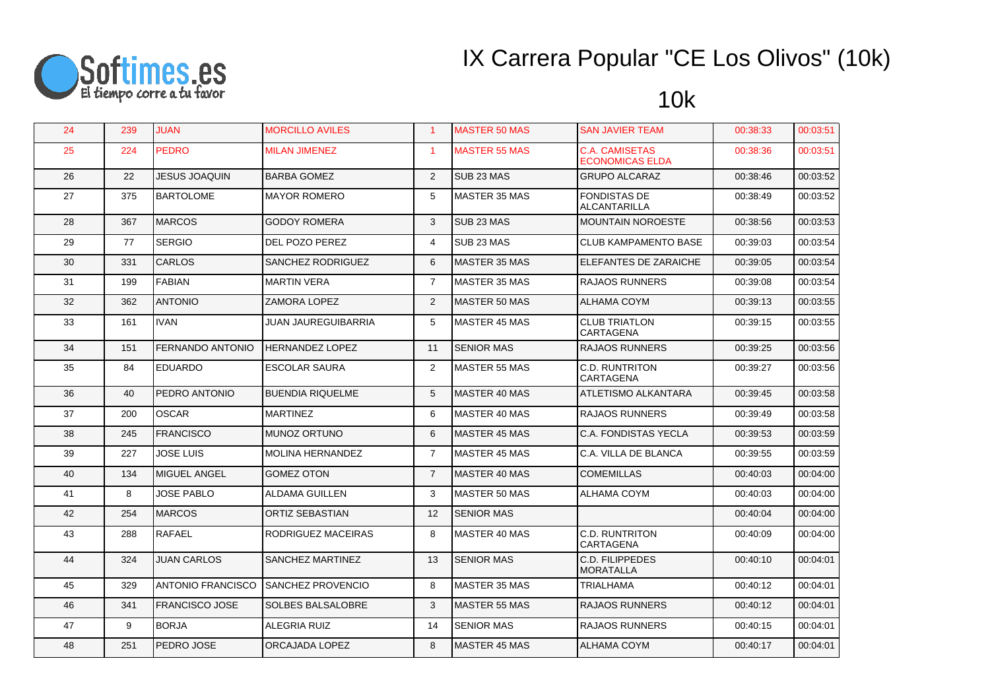

| 24 | 239 | <b>JUAN</b>              | <b>MORCILLO AVILES</b>   | $\blacktriangleleft$ | <b>MASTER 50 MAS</b>  | <b>SAN JAVIER TEAM</b>                          | 00:38:33 | 00:03:51 |
|----|-----|--------------------------|--------------------------|----------------------|-----------------------|-------------------------------------------------|----------|----------|
| 25 | 224 | <b>PEDRO</b>             | <b>MILAN JIMENEZ</b>     | $\blacktriangleleft$ | <b>MASTER 55 MAS</b>  | <b>C.A. CAMISETAS</b><br><b>ECONOMICAS ELDA</b> | 00:38:36 | 00:03:51 |
| 26 | 22  | JESUS JOAQUIN            | <b>BARBA GOMEZ</b>       | 2                    | SUB <sub>23</sub> MAS | <b>GRUPO ALCARAZ</b>                            | 00:38:46 | 00:03:52 |
| 27 | 375 | <b>BARTOLOME</b>         | <b>MAYOR ROMERO</b>      | 5                    | <b>MASTER 35 MAS</b>  | <b>FONDISTAS DE</b><br>ALCANTARILLA             | 00:38:49 | 00:03:52 |
| 28 | 367 | <b>MARCOS</b>            | <b>GODOY ROMERA</b>      | 3                    | SUB <sub>23</sub> MAS | <b>MOUNTAIN NOROESTE</b>                        | 00:38:56 | 00:03:53 |
| 29 | 77  | <b>SERGIO</b>            | DEL POZO PEREZ           | 4                    | SUB <sub>23</sub> MAS | <b>CLUB KAMPAMENTO BASE</b>                     | 00:39:03 | 00:03:54 |
| 30 | 331 | <b>CARLOS</b>            | SANCHEZ RODRIGUEZ        | 6                    | <b>MASTER 35 MAS</b>  | <b>ELEFANTES DE ZARAICHE</b>                    | 00:39:05 | 00:03:54 |
| 31 | 199 | FABIAN                   | <b>MARTIN VERA</b>       | $\overline{7}$       | MASTER 35 MAS         | <b>RAJAOS RUNNERS</b>                           | 00:39:08 | 00:03:54 |
| 32 | 362 | <b>ANTONIO</b>           | ZAMORA LOPEZ             | 2                    | MASTER 50 MAS         | ALHAMA COYM                                     | 00:39:13 | 00:03:55 |
| 33 | 161 | <b>IVAN</b>              | JUAN JAUREGUIBARRIA      | 5                    | <b>MASTER 45 MAS</b>  | <b>CLUB TRIATLON</b><br>CARTAGENA               | 00:39:15 | 00:03:55 |
| 34 | 151 | <b>FERNANDO ANTONIO</b>  | <b>HERNANDEZ LOPEZ</b>   | 11                   | <b>SENIOR MAS</b>     | <b>RAJAOS RUNNERS</b>                           | 00:39:25 | 00:03:56 |
| 35 | 84  | <b>EDUARDO</b>           | ESCOLAR SAURA            | $\overline{2}$       | <b>MASTER 55 MAS</b>  | <b>C.D. RUNTRITON</b><br>CARTAGENA              | 00:39:27 | 00:03:56 |
| 36 | 40  | PEDRO ANTONIO            | <b>BUENDIA RIQUELME</b>  | 5                    | MASTER 40 MAS         | <b>ATLETISMO ALKANTARA</b>                      | 00:39:45 | 00:03:58 |
| 37 | 200 | <b>OSCAR</b>             | <b>MARTINEZ</b>          | 6                    | MASTER 40 MAS         | <b>RAJAOS RUNNERS</b>                           | 00:39:49 | 00:03:58 |
| 38 | 245 | <b>FRANCISCO</b>         | <b>MUNOZ ORTUNO</b>      | 6                    | <b>MASTER 45 MAS</b>  | <b>C.A. FONDISTAS YECLA</b>                     | 00:39:53 | 00:03:59 |
| 39 | 227 | JOSE LUIS                | <b>MOLINA HERNANDEZ</b>  | $\overline{7}$       | <b>MASTER 45 MAS</b>  | C.A. VILLA DE BLANCA                            | 00:39:55 | 00:03:59 |
| 40 | 134 | <b>IMIGUEL ANGEL</b>     | <b>GOMEZ OTON</b>        | $\overline{7}$       | MASTER 40 MAS         | <b>COMEMILLAS</b>                               | 00:40:03 | 00:04:00 |
| 41 | 8   | <b>JOSE PABLO</b>        | ALDAMA GUILLEN           | 3                    | MASTER 50 MAS         | ALHAMA COYM                                     | 00:40:03 | 00:04:00 |
| 42 | 254 | <b>MARCOS</b>            | ORTIZ SEBASTIAN          | 12                   | <b>SENIOR MAS</b>     |                                                 | 00:40:04 | 00:04:00 |
| 43 | 288 | RAFAEL                   | RODRIGUEZ MACEIRAS       | 8                    | MASTER 40 MAS         | C.D. RUNTRITON<br><b>CARTAGENA</b>              | 00:40:09 | 00:04:00 |
| 44 | 324 | <b>JUAN CARLOS</b>       | SANCHEZ MARTINEZ         | 13                   | <b>SENIOR MAS</b>     | C.D. FILIPPEDES<br><b>MORATALLA</b>             | 00:40:10 | 00:04:01 |
| 45 | 329 | <b>ANTONIO FRANCISCO</b> | <b>SANCHEZ PROVENCIO</b> | 8                    | <b>MASTER 35 MAS</b>  | <b>TRIALHAMA</b>                                | 00:40:12 | 00:04:01 |
| 46 | 341 | <b>FRANCISCO JOSE</b>    | <b>SOLBES BALSALOBRE</b> | 3                    | <b>MASTER 55 MAS</b>  | <b>RAJAOS RUNNERS</b>                           | 00:40:12 | 00:04:01 |
| 47 | 9   | <b>BORJA</b>             | ALEGRIA RUIZ             | 14                   | <b>SENIOR MAS</b>     | RAJAOS RUNNERS                                  | 00:40:15 | 00:04:01 |
| 48 | 251 | <b>PEDRO JOSE</b>        | ORCAJADA LOPEZ           | 8                    | MASTER 45 MAS         | <b>ALHAMA COYM</b>                              | 00:40:17 | 00:04:01 |
|    |     |                          |                          |                      |                       |                                                 |          |          |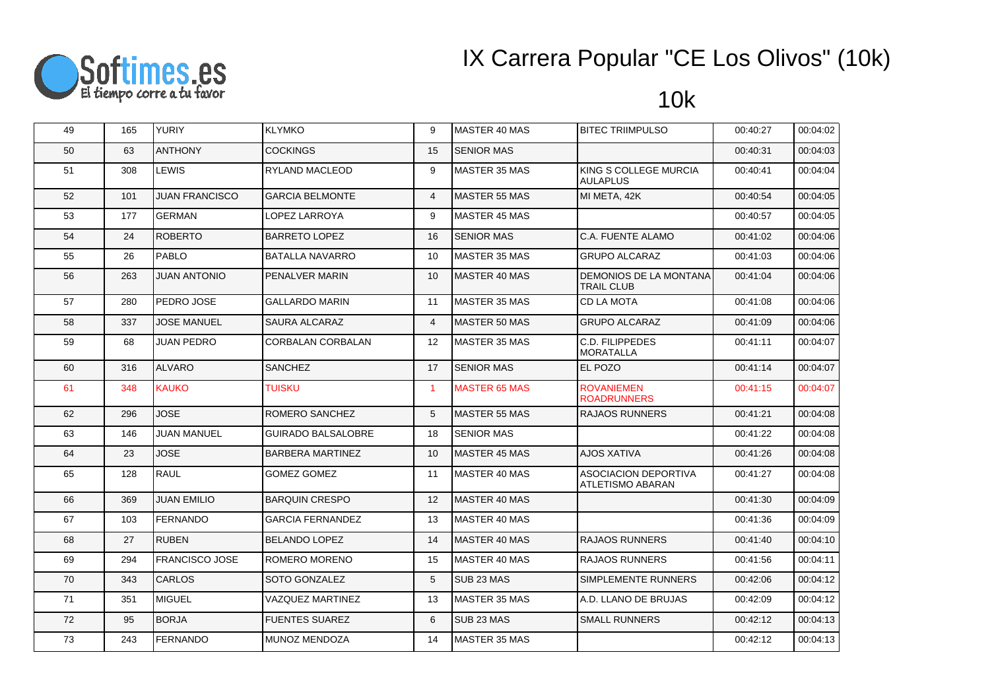

| 49 | 165 | <b>YURIY</b>          | <b>KLYMKO</b>             | 9              | MASTER 40 MAS         | <b>BITEC TRIIMPULSO</b>                            | 00:40:27 | 00:04:02 |
|----|-----|-----------------------|---------------------------|----------------|-----------------------|----------------------------------------------------|----------|----------|
| 50 | 63  | <b>ANTHONY</b>        | <b>COCKINGS</b>           | 15             | <b>SENIOR MAS</b>     |                                                    | 00:40:31 | 00:04:03 |
| 51 | 308 | <b>LEWIS</b>          | RYLAND MACLEOD            | 9              | <b>MASTER 35 MAS</b>  | KING S COLLEGE MURCIA<br><b>AULAPLUS</b>           | 00:40:41 | 00:04:04 |
| 52 | 101 | <b>JUAN FRANCISCO</b> | <b>GARCIA BELMONTE</b>    | $\overline{4}$ | <b>MASTER 55 MAS</b>  | MI META, 42K                                       | 00:40:54 | 00:04:05 |
| 53 | 177 | <b>GERMAN</b>         | LOPEZ LARROYA             | 9              | <b>MASTER 45 MAS</b>  |                                                    | 00:40:57 | 00:04:05 |
| 54 | 24  | <b>ROBERTO</b>        | <b>BARRETO LOPEZ</b>      | 16             | <b>SENIOR MAS</b>     | C.A. FUENTE ALAMO                                  | 00:41:02 | 00:04:06 |
| 55 | 26  | PABLO                 | <b>BATALLA NAVARRO</b>    | 10             | MASTER 35 MAS         | <b>GRUPO ALCARAZ</b>                               | 00:41:03 | 00:04:06 |
| 56 | 263 | <b>JUAN ANTONIO</b>   | PENALVER MARIN            | 10             | MASTER 40 MAS         | <b>DEMONIOS DE LA MONTANA</b><br><b>TRAIL CLUB</b> | 00:41:04 | 00:04:06 |
| 57 | 280 | PEDRO JOSE            | <b>GALLARDO MARIN</b>     | 11             | <b>MASTER 35 MAS</b>  | CD LA MOTA                                         | 00:41:08 | 00:04:06 |
| 58 | 337 | <b>JOSE MANUEL</b>    | SAURA ALCARAZ             | 4              | <b>MASTER 50 MAS</b>  | <b>GRUPO ALCARAZ</b>                               | 00:41:09 | 00:04:06 |
| 59 | 68  | <b>JUAN PEDRO</b>     | <b>CORBALAN CORBALAN</b>  | 12             | MASTER 35 MAS         | <b>C.D. FILIPPEDES</b><br><b>MORATALLA</b>         | 00:41:11 | 00:04:07 |
| 60 | 316 | ALVARO                | <b>SANCHEZ</b>            | 17             | <b>SENIOR MAS</b>     | <b>EL POZO</b>                                     | 00:41:14 | 00:04:07 |
| 61 | 348 | <b>KAUKO</b>          | <b>TUISKU</b>             | $\mathbf{1}$   | <b>MASTER 65 MAS</b>  | <b>ROVANIEMEN</b><br><b>ROADRUNNERS</b>            | 00:41:15 | 00:04:07 |
| 62 | 296 | <b>JOSE</b>           | ROMERO SANCHEZ            | 5              | MASTER 55 MAS         | <b>RAJAOS RUNNERS</b>                              | 00:41:21 | 00:04:08 |
| 63 | 146 | <b>JUAN MANUEL</b>    | <b>GUIRADO BALSALOBRE</b> | 18             | <b>SENIOR MAS</b>     |                                                    | 00:41:22 | 00:04:08 |
| 64 | 23  | <b>JOSE</b>           | <b>BARBERA MARTINEZ</b>   | 10             | MASTER 45 MAS         | <b>AJOS XATIVA</b>                                 | 00:41:26 | 00:04:08 |
| 65 | 128 | <b>RAUL</b>           | GOMEZ GOMEZ               | 11             | MASTER 40 MAS         | ASOCIACION DEPORTIVA<br>ATLETISMO ABARAN           | 00:41:27 | 00:04:08 |
| 66 | 369 | <b>JUAN EMILIO</b>    | <b>BARQUIN CRESPO</b>     | 12             | MASTER 40 MAS         |                                                    | 00:41:30 | 00:04:09 |
| 67 | 103 | <b>FERNANDO</b>       | <b>GARCIA FERNANDEZ</b>   | 13             | MASTER 40 MAS         |                                                    | 00:41:36 | 00:04:09 |
| 68 | 27  | <b>RUBEN</b>          | <b>BELANDO LOPEZ</b>      | 14             | MASTER 40 MAS         | <b>RAJAOS RUNNERS</b>                              | 00:41:40 | 00:04:10 |
| 69 | 294 | <b>FRANCISCO JOSE</b> | ROMERO MORENO             | 15             | MASTER 40 MAS         | <b>RAJAOS RUNNERS</b>                              | 00:41:56 | 00:04:11 |
| 70 | 343 | <b>CARLOS</b>         | SOTO GONZALEZ             | 5              | SUB <sub>23</sub> MAS | <b>SIMPLEMENTE RUNNERS</b>                         | 00:42:06 | 00:04:12 |
| 71 | 351 | MIGUEL                | VAZQUEZ MARTINEZ          | 13             | MASTER 35 MAS         | A.D. LLANO DE BRUJAS                               | 00:42:09 | 00:04:12 |
| 72 | 95  | <b>BORJA</b>          | <b>FUENTES SUAREZ</b>     | 6              | SUB <sub>23</sub> MAS | <b>SMALL RUNNERS</b>                               | 00:42:12 | 00:04:13 |
| 73 | 243 | <b>FERNANDO</b>       | MUNOZ MENDOZA             | 14             | MASTER 35 MAS         |                                                    | 00:42:12 | 00:04:13 |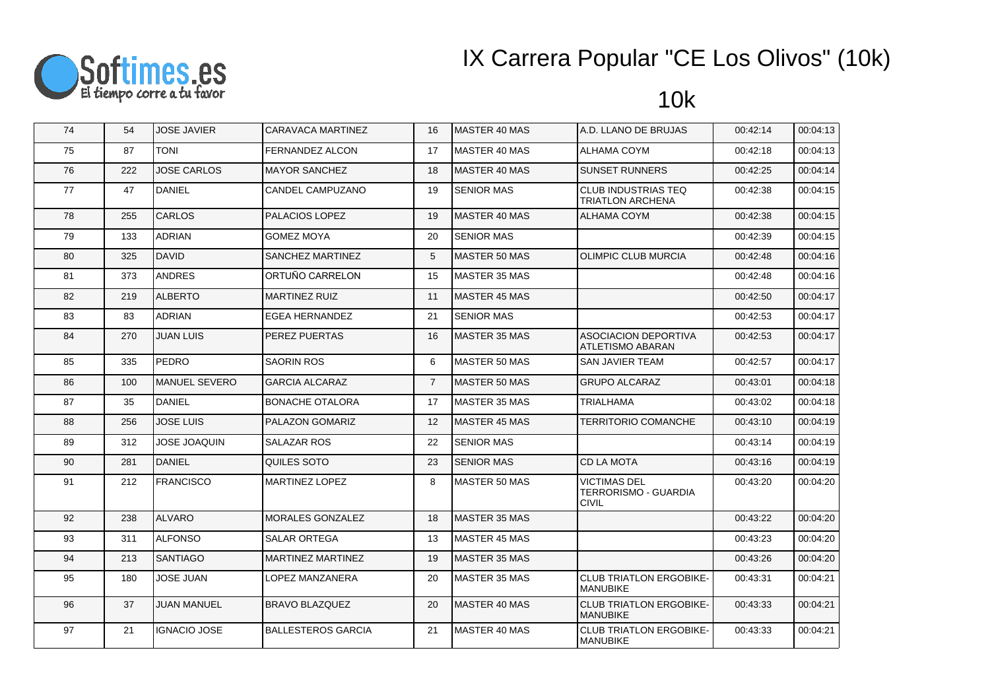

| 74 | 54  | <b>JOSE JAVIER</b>   | CARAVACA MARTINEZ         | 16             | MASTER 40 MAS        | A.D. LLANO DE BRUJAS                                        | 00:42:14 | 00:04:13 |
|----|-----|----------------------|---------------------------|----------------|----------------------|-------------------------------------------------------------|----------|----------|
| 75 | 87  | <b>TONI</b>          | FERNANDEZ ALCON           | 17             | IMASTER 40 MAS       | ALHAMA COYM                                                 | 00:42:18 | 00:04:13 |
| 76 | 222 | <b>JOSE CARLOS</b>   | <b>MAYOR SANCHEZ</b>      | 18             | MASTER 40 MAS        | <b>SUNSET RUNNERS</b>                                       | 00:42:25 | 00:04:14 |
| 77 | 47  | <b>DANIEL</b>        | CANDEL CAMPUZANO          | 19             | <b>SENIOR MAS</b>    | <b>CLUB INDUSTRIAS TEQ</b><br>TRIATLON ARCHENA              | 00:42:38 | 00:04:15 |
| 78 | 255 | <b>CARLOS</b>        | PALACIOS LOPEZ            | 19             | MASTER 40 MAS        | ALHAMA COYM                                                 | 00:42:38 | 00:04:15 |
| 79 | 133 | ADRIAN               | GOMEZ MOYA                | 20             | <b>SENIOR MAS</b>    |                                                             | 00:42:39 | 00:04:15 |
| 80 | 325 | <b>DAVID</b>         | SANCHEZ MARTINEZ          | 5              | <b>MASTER 50 MAS</b> | <b>OLIMPIC CLUB MURCIA</b>                                  | 00:42:48 | 00:04:16 |
| 81 | 373 | <b>ANDRES</b>        | ORTUÑO CARRELON           | 15             | <b>MASTER 35 MAS</b> |                                                             | 00:42:48 | 00:04:16 |
| 82 | 219 | <b>ALBERTO</b>       | <b>MARTINEZ RUIZ</b>      | 11             | <b>MASTER 45 MAS</b> |                                                             | 00:42:50 | 00:04:17 |
| 83 | 83  | <b>ADRIAN</b>        | <b>EGEA HERNANDEZ</b>     | 21             | <b>SENIOR MAS</b>    |                                                             | 00:42:53 | 00:04:17 |
| 84 | 270 | <b>JUAN LUIS</b>     | PEREZ PUERTAS             | 16             | <b>MASTER 35 MAS</b> | <b>ASOCIACION DEPORTIVA</b><br>ATLETISMO ABARAN             | 00:42:53 | 00:04:17 |
| 85 | 335 | <b>PEDRO</b>         | <b>SAORIN ROS</b>         | 6              | MASTER 50 MAS        | SAN JAVIER TEAM                                             | 00:42:57 | 00:04:17 |
| 86 | 100 | <b>MANUEL SEVERO</b> | <b>GARCIA ALCARAZ</b>     | $\overline{7}$ | <b>MASTER 50 MAS</b> | <b>GRUPO ALCARAZ</b>                                        | 00:43:01 | 00:04:18 |
| 87 | 35  | <b>DANIEL</b>        | <b>BONACHE OTALORA</b>    | 17             | MASTER 35 MAS        | TRIALHAMA                                                   | 00:43:02 | 00:04:18 |
| 88 | 256 | <b>JOSE LUIS</b>     | PALAZON GOMARIZ           | 12             | <b>MASTER 45 MAS</b> | <b>TERRITORIO COMANCHE</b>                                  | 00:43:10 | 00:04:19 |
| 89 | 312 | <b>JOSE JOAQUIN</b>  | <b>SALAZAR ROS</b>        | 22             | <b>SENIOR MAS</b>    |                                                             | 00:43:14 | 00:04:19 |
| 90 | 281 | <b>DANIEL</b>        | QUILES SOTO               | 23             | <b>SENIOR MAS</b>    | CD LA MOTA                                                  | 00:43:16 | 00:04:19 |
| 91 | 212 | <b>FRANCISCO</b>     | <b>MARTINEZ LOPEZ</b>     | 8              | <b>MASTER 50 MAS</b> | <b>VICTIMAS DEL</b><br>TERRORISMO - GUARDIA<br><b>CIVIL</b> | 00:43:20 | 00:04:20 |
| 92 | 238 | <b>ALVARO</b>        | MORALES GONZALEZ          | 18             | MASTER 35 MAS        |                                                             | 00:43:22 | 00:04:20 |
| 93 | 311 | <b>ALFONSO</b>       | <b>SALAR ORTEGA</b>       | 13             | MASTER 45 MAS        |                                                             | 00:43:23 | 00:04:20 |
| 94 | 213 | <b>SANTIAGO</b>      | MARTINEZ MARTINEZ         | 19             | <b>MASTER 35 MAS</b> |                                                             | 00:43:26 | 00:04:20 |
| 95 | 180 | <b>JOSE JUAN</b>     | LOPEZ MANZANERA           | 20             | MASTER 35 MAS        | <b>CLUB TRIATLON ERGOBIKE-</b><br><b>MANUBIKE</b>           | 00:43:31 | 00:04:21 |
| 96 | 37  | <b>JUAN MANUEL</b>   | <b>BRAVO BLAZQUEZ</b>     | 20             | MASTER 40 MAS        | <b>CLUB TRIATLON ERGOBIKE-</b><br><b>MANUBIKE</b>           | 00:43:33 | 00:04:21 |
| 97 | 21  | <b>IGNACIO JOSE</b>  | <b>BALLESTEROS GARCIA</b> | 21             | MASTER 40 MAS        | <b>CLUB TRIATLON ERGOBIKE-</b><br><b>MANUBIKE</b>           | 00:43:33 | 00:04:21 |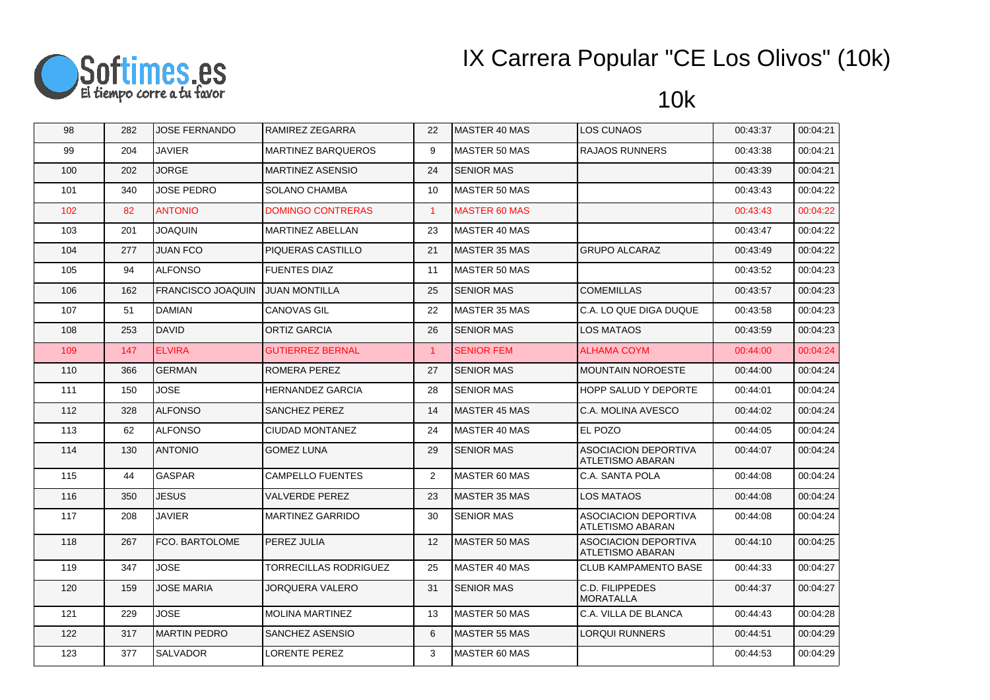

| 98  | 282 | <b>JOSE FERNANDO</b>     | RAMIREZ ZEGARRA           | 22                | <b>IMASTER 40 MAS</b> | LOS CUNAOS                                             | 00:43:37 | 00:04:21 |
|-----|-----|--------------------------|---------------------------|-------------------|-----------------------|--------------------------------------------------------|----------|----------|
| 99  | 204 | <b>JAVIER</b>            | <b>MARTINEZ BARQUEROS</b> | 9                 | MASTER 50 MAS         | <b>RAJAOS RUNNERS</b>                                  | 00:43:38 | 00:04:21 |
| 100 | 202 | <b>JORGE</b>             | <b>MARTINEZ ASENSIO</b>   | 24                | <b>SENIOR MAS</b>     |                                                        | 00:43:39 | 00:04:21 |
| 101 | 340 | <b>JOSE PEDRO</b>        | <b>SOLANO CHAMBA</b>      | 10                | MASTER 50 MAS         |                                                        | 00:43:43 | 00:04:22 |
| 102 | 82  | <b>ANTONIO</b>           | <b>DOMINGO CONTRERAS</b>  | $\mathbf{1}$      | <b>MASTER 60 MAS</b>  |                                                        | 00:43:43 | 00:04:22 |
| 103 | 201 | <b>JOAQUIN</b>           | <b>MARTINEZ ABELLAN</b>   | 23                | MASTER 40 MAS         |                                                        | 00:43:47 | 00:04:22 |
| 104 | 277 | <b>JUAN FCO</b>          | PIQUERAS CASTILLO         | 21                | <b>IMASTER 35 MAS</b> | <b>GRUPO ALCARAZ</b>                                   | 00:43:49 | 00:04:22 |
| 105 | 94  | <b>ALFONSO</b>           | <b>FUENTES DIAZ</b>       | 11                | MASTER 50 MAS         |                                                        | 00:43:52 | 00:04:23 |
| 106 | 162 | <b>FRANCISCO JOAQUIN</b> | <b>JUAN MONTILLA</b>      | 25                | <b>SENIOR MAS</b>     | <b>COMEMILLAS</b>                                      | 00:43:57 | 00:04:23 |
| 107 | 51  | DAMIAN                   | CANOVAS GIL               | 22                | MASTER 35 MAS         | C.A. LO QUE DIGA DUQUE                                 | 00:43:58 | 00:04:23 |
| 108 | 253 | <b>DAVID</b>             | <b>ORTIZ GARCIA</b>       | 26                | <b>SENIOR MAS</b>     | <b>LOS MATAOS</b>                                      | 00:43:59 | 00:04:23 |
| 109 | 147 | <b>ELVIRA</b>            | <b>GUTIERREZ BERNAL</b>   | $\mathbf{1}$      | <b>SENIOR FEM</b>     | <b>ALHAMA COYM</b>                                     | 00:44:00 | 00:04:24 |
| 110 | 366 | <b>GERMAN</b>            | ROMERA PEREZ              | 27                | <b>SENIOR MAS</b>     | <b>MOUNTAIN NOROESTE</b>                               | 00:44:00 | 00:04:24 |
| 111 | 150 | JOSE                     | <b>HERNANDEZ GARCIA</b>   | 28                | <b>SENIOR MAS</b>     | <b>HOPP SALUD Y DEPORTE</b>                            | 00:44:01 | 00:04:24 |
| 112 | 328 | <b>ALFONSO</b>           | SANCHEZ PEREZ             | 14                | MASTER 45 MAS         | C.A. MOLINA AVESCO                                     | 00:44:02 | 00:04:24 |
| 113 | 62  | <b>ALFONSO</b>           | CIUDAD MONTANEZ           | 24                | MASTER 40 MAS         | EL POZO                                                | 00:44:05 | 00:04:24 |
| 114 | 130 | <b>ANTONIO</b>           | <b>GOMEZ LUNA</b>         | 29                | <b>SENIOR MAS</b>     | <b>ASOCIACION DEPORTIVA</b><br><b>ATLETISMO ABARAN</b> | 00:44:07 | 00:04:24 |
| 115 | 44  | GASPAR                   | <b>CAMPELLO FUENTES</b>   | $\overline{2}$    | MASTER 60 MAS         | C.A. SANTA POLA                                        | 00:44:08 | 00:04:24 |
| 116 | 350 | JESUS                    | <b>VALVERDE PEREZ</b>     | 23                | MASTER 35 MAS         | <b>LOS MATAOS</b>                                      | 00:44:08 | 00:04:24 |
| 117 | 208 | <b>JAVIER</b>            | <b>MARTINEZ GARRIDO</b>   | 30                | <b>SENIOR MAS</b>     | <b>ASOCIACION DEPORTIVA</b><br>ATLETISMO ABARAN        | 00:44:08 | 00:04:24 |
| 118 | 267 | FCO. BARTOLOME           | PEREZ JULIA               | $12 \overline{ }$ | MASTER 50 MAS         | <b>ASOCIACION DEPORTIVA</b><br><b>ATLETISMO ABARAN</b> | 00:44:10 | 00:04:25 |
| 119 | 347 | JOSE                     | TORRECILLAS RODRIGUEZ     | 25                | MASTER 40 MAS         | <b>CLUB KAMPAMENTO BASE</b>                            | 00:44:33 | 00:04:27 |
| 120 | 159 | <b>JOSE MARIA</b>        | <b>JORQUERA VALERO</b>    | 31                | <b>SENIOR MAS</b>     | C.D. FILIPPEDES<br><b>MORATALLA</b>                    | 00:44:37 | 00:04:27 |
| 121 | 229 | <b>JOSE</b>              | <b>MOLINA MARTINEZ</b>    | 13                | MASTER 50 MAS         | C.A. VILLA DE BLANCA                                   | 00:44:43 | 00:04:28 |
| 122 | 317 | IMARTIN PEDRO            | SANCHEZ ASENSIO           | 6                 | MASTER 55 MAS         | <b>LORQUI RUNNERS</b>                                  | 00:44:51 | 00:04:29 |
| 123 | 377 | <b>SALVADOR</b>          | <b>LORENTE PEREZ</b>      | 3                 | MASTER 60 MAS         |                                                        | 00:44:53 | 00:04:29 |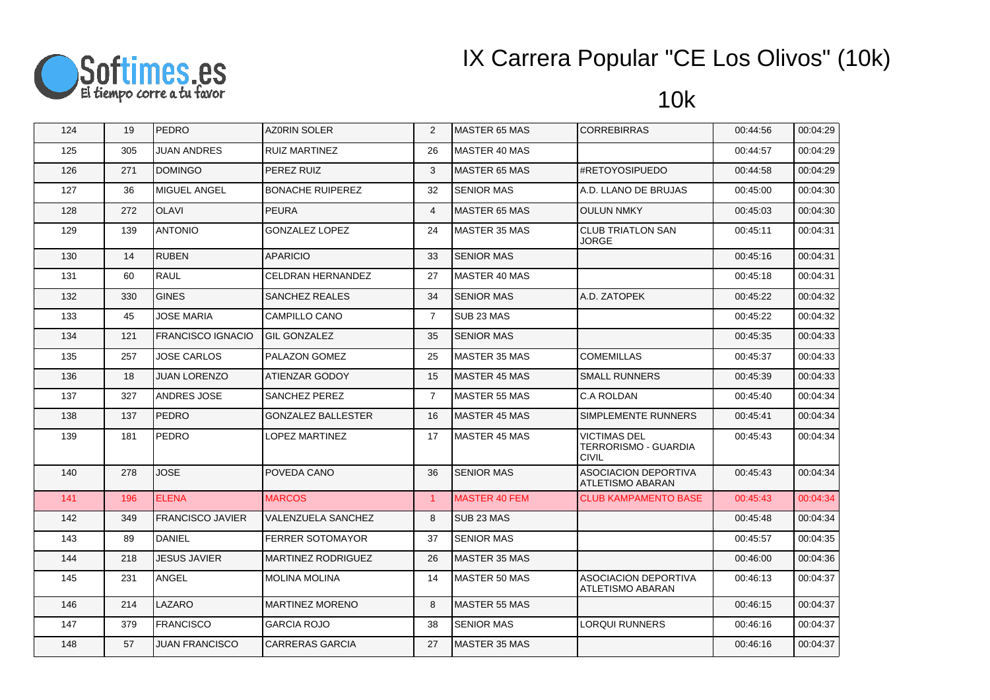

| 124 | 19  | <b>PEDRO</b>            | <b>AZ0RIN SOLER</b>       | 2                    | MASTER 65 MAS         | <b>CORREBIRRAS</b>                                          | 00:44:56 | 00:04:29 |
|-----|-----|-------------------------|---------------------------|----------------------|-----------------------|-------------------------------------------------------------|----------|----------|
| 125 | 305 | <b>JUAN ANDRES</b>      | <b>RUIZ MARTINEZ</b>      | 26                   | MASTER 40 MAS         |                                                             | 00:44:57 | 00:04:29 |
| 126 | 271 | <b>DOMINGO</b>          | PEREZ RUIZ                | 3                    | <b>MASTER 65 MAS</b>  | #RETOYOSIPUEDO                                              | 00:44:58 | 00:04:29 |
| 127 | 36  | MIGUEL ANGEL            | <b>BONACHE RUIPEREZ</b>   | 32                   | <b>SENIOR MAS</b>     | A.D. LLANO DE BRUJAS                                        | 00:45:00 | 00:04:30 |
| 128 | 272 | <b>OLAVI</b>            | <b>PEURA</b>              | $\overline{4}$       | <b>MASTER 65 MAS</b>  | <b>OULUN NMKY</b>                                           | 00:45:03 | 00:04:30 |
| 129 | 139 | <b>ANTONIO</b>          | <b>GONZALEZ LOPEZ</b>     | 24                   | <b>MASTER 35 MAS</b>  | <b>CLUB TRIATLON SAN</b><br><b>JORGE</b>                    | 00:45:11 | 00:04:31 |
| 130 | 14  | <b>RUBEN</b>            | <b>APARICIO</b>           | 33                   | <b>SENIOR MAS</b>     |                                                             | 00:45:16 | 00:04:31 |
| 131 | 60  | RAUL                    | CELDRAN HERNANDEZ         | 27                   | MASTER 40 MAS         |                                                             | 00:45:18 | 00:04:31 |
| 132 | 330 | <b>GINES</b>            | <b>SANCHEZ REALES</b>     | 34                   | <b>SENIOR MAS</b>     | A.D. ZATOPEK                                                | 00:45:22 | 00:04:32 |
| 133 | 45  | <b>JOSE MARIA</b>       | CAMPILLO CANO             | $\overline{7}$       | SUB 23 MAS            |                                                             | 00:45:22 | 00:04:32 |
| 134 | 121 | FRANCISCO IGNACIO       | <b>GIL GONZALEZ</b>       | 35                   | <b>SENIOR MAS</b>     |                                                             | 00:45:35 | 00:04:33 |
| 135 | 257 | <b>JOSE CARLOS</b>      | <b>PALAZON GOMEZ</b>      | 25                   | MASTER 35 MAS         | <b>COMEMILLAS</b>                                           | 00:45:37 | 00:04:33 |
| 136 | 18  | <b>JUAN LORENZO</b>     | ATIENZAR GODOY            | 15                   | MASTER 45 MAS         | <b>SMALL RUNNERS</b>                                        | 00:45:39 | 00:04:33 |
| 137 | 327 | <b>ANDRES JOSE</b>      | <b>SANCHEZ PEREZ</b>      | $\overline{7}$       | <b>MASTER 55 MAS</b>  | C.A ROLDAN                                                  | 00:45:40 | 00:04:34 |
| 138 | 137 | <b>PEDRO</b>            | <b>GONZALEZ BALLESTER</b> | 16                   | MASTER 45 MAS         | SIMPLEMENTE RUNNERS                                         | 00:45:41 | 00:04:34 |
| 139 | 181 | PEDRO                   | LOPEZ MARTINEZ            | 17                   | <b>MASTER 45 MAS</b>  | <b>VICTIMAS DEL</b><br>TERRORISMO - GUARDIA<br><b>CIVIL</b> | 00:45:43 | 00:04:34 |
| 140 | 278 | <b>JOSE</b>             | POVEDA CANO               | 36                   | <b>SENIOR MAS</b>     | <b>ASOCIACION DEPORTIVA</b><br><b>ATLETISMO ABARAN</b>      | 00:45:43 | 00:04:34 |
| 141 | 196 | <b>ELENA</b>            | <b>MARCOS</b>             | $\blacktriangleleft$ | <b>MASTER 40 FEM</b>  | <b>CLUB KAMPAMENTO BASE</b>                                 | 00:45:43 | 00:04:34 |
| 142 | 349 | <b>FRANCISCO JAVIER</b> | VALENZUELA SANCHEZ        | 8                    | SUB <sub>23</sub> MAS |                                                             | 00:45:48 | 00:04:34 |
| 143 | 89  | <b>DANIEL</b>           | <b>FERRER SOTOMAYOR</b>   | 37                   | <b>SENIOR MAS</b>     |                                                             | 00:45:57 | 00:04:35 |
| 144 | 218 | <b>JESUS JAVIER</b>     | <b>MARTINEZ RODRIGUEZ</b> | 26                   | MASTER 35 MAS         |                                                             | 00:46:00 | 00:04:36 |
| 145 | 231 | ANGEL                   | <b>MOLINA MOLINA</b>      | 14                   | <b>MASTER 50 MAS</b>  | <b>ASOCIACION DEPORTIVA</b><br>ATLETISMO ABARAN             | 00:46:13 | 00:04:37 |
| 146 | 214 | LAZARO                  | <b>MARTINEZ MORENO</b>    | 8                    | MASTER 55 MAS         |                                                             | 00:46:15 | 00:04:37 |
| 147 | 379 | <b>FRANCISCO</b>        | <b>GARCIA ROJO</b>        | 38                   | <b>SENIOR MAS</b>     | <b>LORQUI RUNNERS</b>                                       | 00:46:16 | 00:04:37 |
| 148 | 57  | <b>JUAN FRANCISCO</b>   | <b>CARRERAS GARCIA</b>    | 27                   | MASTER 35 MAS         |                                                             | 00:46:16 | 00:04:37 |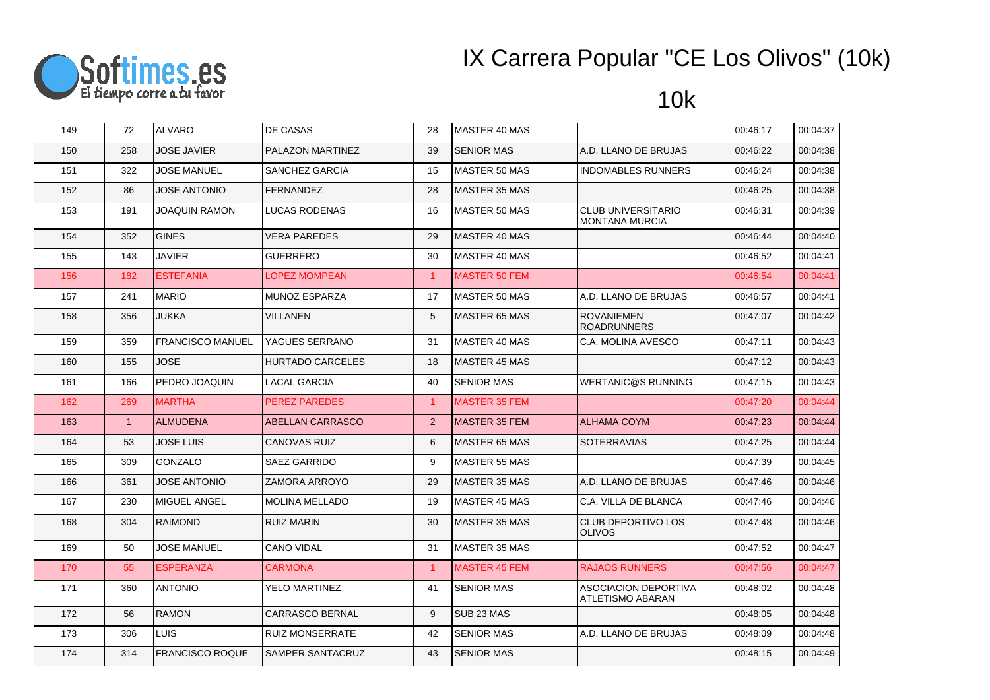

| 149 | 72  | <b>ALVARO</b>           | DE CASAS                | 28             | MASTER 40 MAS         |                                                        | 00:46:17 | 00:04:37 |
|-----|-----|-------------------------|-------------------------|----------------|-----------------------|--------------------------------------------------------|----------|----------|
| 150 | 258 | <b>JOSE JAVIER</b>      | PALAZON MARTINEZ        | 39             | <b>SENIOR MAS</b>     | A.D. LLANO DE BRUJAS                                   | 00:46:22 | 00:04:38 |
| 151 | 322 | <b>JOSE MANUEL</b>      | SANCHEZ GARCIA          | 15             | MASTER 50 MAS         | <b>INDOMABLES RUNNERS</b>                              | 00:46:24 | 00:04:38 |
| 152 | 86  | <b>JOSE ANTONIO</b>     | <b>FERNANDEZ</b>        | 28             | <b>MASTER 35 MAS</b>  |                                                        | 00:46:25 | 00:04:38 |
| 153 | 191 | JOAQUIN RAMON           | <b>LUCAS RODENAS</b>    | 16             | <b>MASTER 50 MAS</b>  | <b>CLUB UNIVERSITARIO</b><br><b>MONTANA MURCIA</b>     | 00:46:31 | 00:04:39 |
| 154 | 352 | <b>GINES</b>            | <b>VERA PAREDES</b>     | 29             | MASTER 40 MAS         |                                                        | 00:46:44 | 00:04:40 |
| 155 | 143 | <b>JAVIER</b>           | GUERRERO                | 30             | MASTER 40 MAS         |                                                        | 00:46:52 | 00:04:41 |
| 156 | 182 | <b>ESTEFANIA</b>        | <b>LOPEZ MOMPEAN</b>    | $\mathbf{1}$   | <b>MASTER 50 FEM</b>  |                                                        | 00:46:54 | 00:04:41 |
| 157 | 241 | <b>MARIO</b>            | MUNOZ ESPARZA           | 17             | <b>MASTER 50 MAS</b>  | A.D. LLANO DE BRUJAS                                   | 00:46:57 | 00:04:41 |
| 158 | 356 | <b>JUKKA</b>            | <b>VILLANEN</b>         | 5              | <b>MASTER 65 MAS</b>  | <b>ROVANIEMEN</b><br><b>ROADRUNNERS</b>                | 00:47:07 | 00:04:42 |
| 159 | 359 | <b>FRANCISCO MANUEL</b> | YAGUES SERRANO          | 31             | MASTER 40 MAS         | C.A. MOLINA AVESCO                                     | 00:47:11 | 00:04:43 |
| 160 | 155 | <b>JOSE</b>             | <b>HURTADO CARCELES</b> | 18             | <b>MASTER 45 MAS</b>  |                                                        | 00:47:12 | 00:04:43 |
| 161 | 166 | PEDRO JOAQUIN           | <b>LACAL GARCIA</b>     | 40             | <b>SENIOR MAS</b>     | <b>WERTANIC@S RUNNING</b>                              | 00:47:15 | 00:04:43 |
| 162 | 269 | <b>MARTHA</b>           | <b>PEREZ PAREDES</b>    | $\overline{1}$ | <b>MASTER 35 FEM</b>  |                                                        | 00:47:20 | 00:04:44 |
| 163 | 1   | <b>ALMUDENA</b>         | ABELLAN CARRASCO        | $2^{\circ}$    | <b>MASTER 35 FEM</b>  | <b>ALHAMA COYM</b>                                     | 00:47:23 | 00:04:44 |
| 164 | 53  | <b>JOSE LUIS</b>        | <b>CANOVAS RUIZ</b>     | 6              | <b>MASTER 65 MAS</b>  | <b>SOTERRAVIAS</b>                                     | 00:47:25 | 00:04:44 |
| 165 | 309 | <b>GONZALO</b>          | SAEZ GARRIDO            | 9              | <b>MASTER 55 MAS</b>  |                                                        | 00:47:39 | 00:04:45 |
| 166 | 361 | <b>JOSE ANTONIO</b>     | <b>ZAMORA ARROYO</b>    | 29             | MASTER 35 MAS         | A.D. LLANO DE BRUJAS                                   | 00:47:46 | 00:04:46 |
| 167 | 230 | MIGUEL ANGEL            | MOLINA MELLADO          | 19             | <b>MASTER 45 MAS</b>  | C.A. VILLA DE BLANCA                                   | 00:47:46 | 00:04:46 |
| 168 | 304 | <b>RAIMOND</b>          | <b>RUIZ MARIN</b>       | 30             | <b>MASTER 35 MAS</b>  | <b>CLUB DEPORTIVO LOS</b><br><b>OLIVOS</b>             | 00:47:48 | 00:04:46 |
| 169 | 50  | <b>JOSE MANUEL</b>      | <b>CANO VIDAL</b>       | 31             | <b>MASTER 35 MAS</b>  |                                                        | 00:47:52 | 00:04:47 |
| 170 | 55  | <b>ESPERANZA</b>        | <b>CARMONA</b>          | $\mathbf{1}$   | <b>MASTER 45 FEM</b>  | <b>RAJAOS RUNNERS</b>                                  | 00:47:56 | 00:04:47 |
| 171 | 360 | <b>ANTONIO</b>          | YELO MARTINEZ           | 41             | <b>SENIOR MAS</b>     | <b>ASOCIACION DEPORTIVA</b><br><b>ATLETISMO ABARAN</b> | 00:48:02 | 00:04:48 |
| 172 | 56  | <b>RAMON</b>            | CARRASCO BERNAL         | 9              | SUB <sub>23</sub> MAS |                                                        | 00:48:05 | 00:04:48 |
| 173 | 306 | <b>LUIS</b>             | <b>RUIZ MONSERRATE</b>  | 42             | <b>SENIOR MAS</b>     | A.D. LLANO DE BRUJAS                                   | 00:48:09 | 00:04:48 |
| 174 | 314 | <b>FRANCISCO ROQUE</b>  | SAMPER SANTACRUZ        | 43             | <b>SENIOR MAS</b>     |                                                        | 00:48:15 | 00:04:49 |
|     |     |                         |                         |                |                       |                                                        |          |          |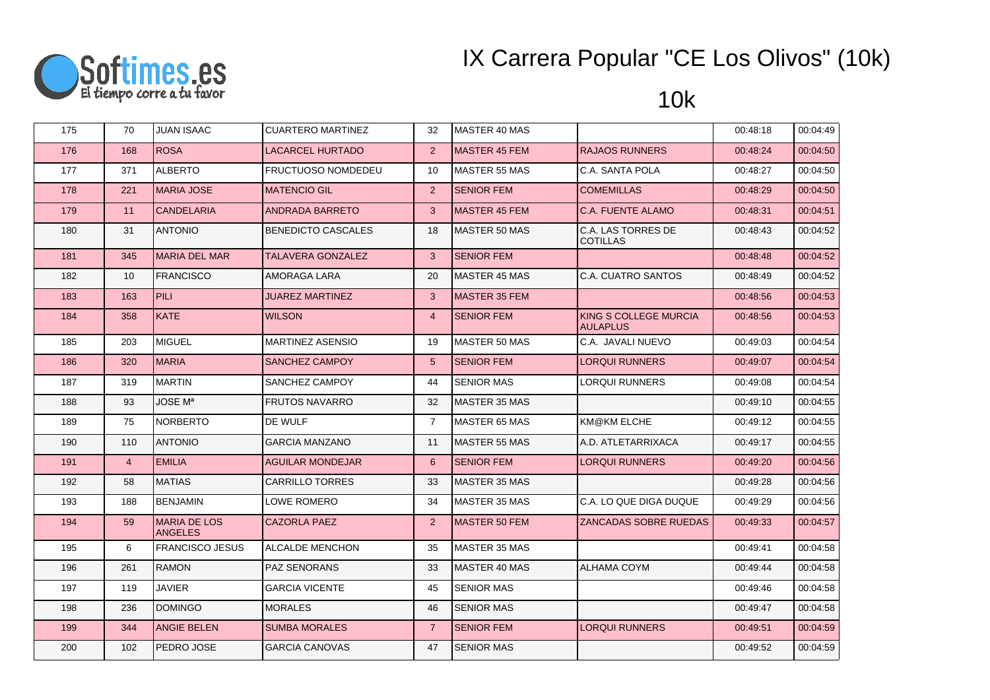

| 175 | 70             | <b>JUAN ISAAC</b>                     | <b>CUARTERO MARTINEZ</b>  | 32             | <b>MASTER 40 MAS</b> |                                          | 00:48:18 | 00:04:49 |
|-----|----------------|---------------------------------------|---------------------------|----------------|----------------------|------------------------------------------|----------|----------|
| 176 | 168            | <b>ROSA</b>                           | <b>LACARCEL HURTADO</b>   | 2              | <b>MASTER 45 FEM</b> | <b>RAJAOS RUNNERS</b>                    | 00:48:24 | 00:04:50 |
| 177 | 371            | <b>ALBERTO</b>                        | <b>FRUCTUOSO NOMDEDEU</b> | 10             | MASTER 55 MAS        | C.A. SANTA POLA                          | 00:48:27 | 00:04:50 |
| 178 | 221            | <b>MARIA JOSE</b>                     | <b>MATENCIO GIL</b>       | 2              | <b>SENIOR FEM</b>    | <b>COMEMILLAS</b>                        | 00:48:29 | 00:04:50 |
| 179 | 11             | <b>CANDELARIA</b>                     | <b>ANDRADA BARRETO</b>    | $\mathbf{3}$   | <b>MASTER 45 FEM</b> | C.A. FUENTE ALAMO                        | 00:48:31 | 00:04:51 |
| 180 | 31             | <b>ANTONIO</b>                        | <b>BENEDICTO CASCALES</b> | 18             | <b>MASTER 50 MAS</b> | C.A. LAS TORRES DE<br><b>COTILLAS</b>    | 00:48:43 | 00:04:52 |
| 181 | 345            | <b>MARIA DEL MAR</b>                  | <b>TALAVERA GONZALEZ</b>  | $\mathbf{3}$   | <b>SENIOR FEM</b>    |                                          | 00:48:48 | 00:04:52 |
| 182 | 10             | <b>FRANCISCO</b>                      | AMORAGA LARA              | 20             | <b>MASTER 45 MAS</b> | C.A. CUATRO SANTOS                       | 00:48:49 | 00:04:52 |
| 183 | 163            | <b>PILI</b>                           | <b>JUAREZ MARTINEZ</b>    | $\mathbf{3}$   | MASTER 35 FEM        |                                          | 00:48:56 | 00:04:53 |
| 184 | 358            | <b>KATE</b>                           | <b>WILSON</b>             | $\overline{4}$ | <b>SENIOR FEM</b>    | KING S COLLEGE MURCIA<br><b>AULAPLUS</b> | 00:48:56 | 00:04:53 |
| 185 | 203            | <b>MIGUEL</b>                         | <b>MARTINEZ ASENSIO</b>   | 19             | MASTER 50 MAS        | C.A. JAVALI NUEVO                        | 00:49:03 | 00:04:54 |
| 186 | 320            | <b>MARIA</b>                          | SANCHEZ CAMPOY            | 5 <sup>5</sup> | <b>SENIOR FEM</b>    | <b>LORQUI RUNNERS</b>                    | 00:49:07 | 00:04:54 |
| 187 | 319            | <b>MARTIN</b>                         | SANCHEZ CAMPOY            | 44             | <b>SENIOR MAS</b>    | LORQUI RUNNERS                           | 00:49:08 | 00:04:54 |
| 188 | 93             | <b>JOSE Ma</b>                        | <b>FRUTOS NAVARRO</b>     | 32             | <b>MASTER 35 MAS</b> |                                          | 00:49:10 | 00:04:55 |
| 189 | 75             | <b>NORBERTO</b>                       | DE WULF                   | $\overline{7}$ | <b>MASTER 65 MAS</b> | KM@KM ELCHE                              | 00:49:12 | 00:04:55 |
| 190 | 110            | <b>ANTONIO</b>                        | <b>GARCIA MANZANO</b>     | 11             | <b>MASTER 55 MAS</b> | A.D. ATLETARRIXACA                       | 00:49:17 | 00:04:55 |
| 191 | $\overline{4}$ | <b>EMILIA</b>                         | <b>AGUILAR MONDEJAR</b>   | 6              | <b>SENIOR FEM</b>    | <b>LORQUI RUNNERS</b>                    | 00:49:20 | 00:04:56 |
| 192 | 58             | <b>MATIAS</b>                         | <b>CARRILLO TORRES</b>    | 33             | MASTER 35 MAS        |                                          | 00:49:28 | 00:04:56 |
| 193 | 188            | <b>BENJAMIN</b>                       | LOWE ROMERO               | 34             | MASTER 35 MAS        | C.A. LO QUE DIGA DUQUE                   | 00:49:29 | 00:04:56 |
| 194 | 59             | <b>MARIA DE LOS</b><br><b>ANGELES</b> | <b>CAZORLA PAEZ</b>       | 2 <sup>2</sup> | <b>MASTER 50 FEM</b> | ZANCADAS SOBRE RUEDAS                    | 00:49:33 | 00:04:57 |
| 195 | 6              | <b>FRANCISCO JESUS</b>                | <b>ALCALDE MENCHON</b>    | 35             | MASTER 35 MAS        |                                          | 00:49:41 | 00:04:58 |
| 196 | 261            | <b>RAMON</b>                          | <b>PAZ SENORANS</b>       | 33             | MASTER 40 MAS        | <b>ALHAMA COYM</b>                       | 00:49:44 | 00:04:58 |
| 197 | 119            | <b>JAVIER</b>                         | <b>GARCIA VICENTE</b>     | 45             | <b>SENIOR MAS</b>    |                                          | 00:49:46 | 00:04:58 |
| 198 | 236            | <b>DOMINGO</b>                        | <b>MORALES</b>            | 46             | <b>SENIOR MAS</b>    |                                          | 00:49:47 | 00:04:58 |
| 199 | 344            | <b>ANGIE BELEN</b>                    | <b>SUMBA MORALES</b>      | $\overline{7}$ | <b>SENIOR FEM</b>    | <b>LORQUI RUNNERS</b>                    | 00:49:51 | 00:04:59 |
| 200 | 102            | PEDRO JOSE                            | <b>GARCIA CANOVAS</b>     | 47             | <b>SENIOR MAS</b>    |                                          | 00:49:52 | 00:04:59 |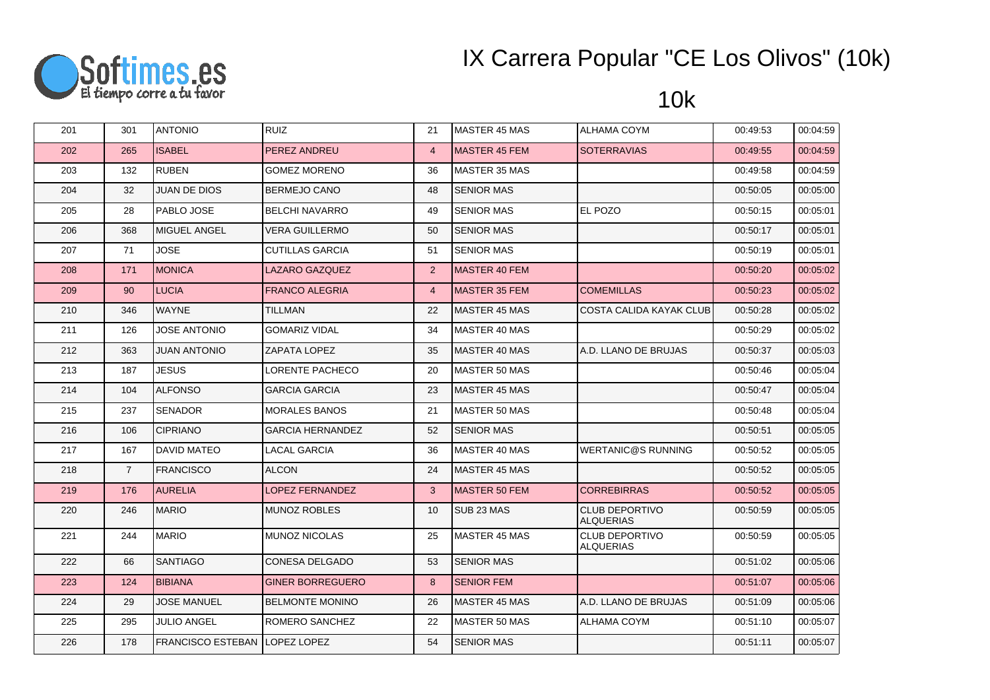

| 201 | 301            | <b>ANTONIO</b>                        | <b>RUIZ</b>             | 21             | <b>MASTER 45 MAS</b>  | <b>ALHAMA COYM</b>                 | 00:49:53 | 00:04:59 |
|-----|----------------|---------------------------------------|-------------------------|----------------|-----------------------|------------------------------------|----------|----------|
| 202 | 265            | <b>ISABEL</b>                         | PEREZ ANDREU            | $\overline{4}$ | <b>MASTER 45 FEM</b>  | <b>SOTERRAVIAS</b>                 | 00:49:55 | 00:04:59 |
| 203 | 132            | <b>RUBEN</b>                          | <b>GOMEZ MORENO</b>     | 36             | MASTER 35 MAS         |                                    | 00:49:58 | 00:04:59 |
| 204 | 32             | <b>JUAN DE DIOS</b>                   | BERMEJO CANO            | 48             | <b>SENIOR MAS</b>     |                                    | 00:50:05 | 00:05:00 |
| 205 | 28             | PABLO JOSE                            | <b>BELCHI NAVARRO</b>   | 49             | <b>SENIOR MAS</b>     | EL POZO                            | 00:50:15 | 00:05:01 |
| 206 | 368            | MIGUEL ANGEL                          | <b>VERA GUILLERMO</b>   | 50             | <b>SENIOR MAS</b>     |                                    | 00:50:17 | 00:05:01 |
| 207 | 71             | <b>JOSE</b>                           | <b>CUTILLAS GARCIA</b>  | 51             | <b>SENIOR MAS</b>     |                                    | 00:50:19 | 00:05:01 |
| 208 | 171            | <b>MONICA</b>                         | <b>LAZARO GAZQUEZ</b>   | 2              | <b>MASTER 40 FEM</b>  |                                    | 00:50:20 | 00:05:02 |
| 209 | 90             | <b>LUCIA</b>                          | <b>FRANCO ALEGRIA</b>   | $\overline{4}$ | MASTER 35 FEM         | <b>COMEMILLAS</b>                  | 00:50:23 | 00:05:02 |
| 210 | 346            | <b>WAYNE</b>                          | <b>TILLMAN</b>          | 22             | <b>MASTER 45 MAS</b>  | <b>COSTA CALIDA KAYAK CLUB</b>     | 00:50:28 | 00:05:02 |
| 211 | 126            | <b>JOSE ANTONIO</b>                   | <b>GOMARIZ VIDAL</b>    | 34             | MASTER 40 MAS         |                                    | 00:50:29 | 00:05:02 |
| 212 | 363            | <b>OINOTAN ANTUL</b>                  | <b>ZAPATA LOPEZ</b>     | 35             | <b>MASTER 40 MAS</b>  | A.D. LLANO DE BRUJAS               | 00:50:37 | 00:05:03 |
| 213 | 187            | <b>JESUS</b>                          | <b>LORENTE PACHECO</b>  | 20             | MASTER 50 MAS         |                                    | 00:50:46 | 00:05:04 |
| 214 | 104            | <b>ALFONSO</b>                        | <b>GARCIA GARCIA</b>    | 23             | MASTER 45 MAS         |                                    | 00:50:47 | 00:05:04 |
| 215 | 237            | <b>SENADOR</b>                        | <b>MORALES BANOS</b>    | 21             | MASTER 50 MAS         |                                    | 00:50:48 | 00:05:04 |
| 216 | 106            | <b>CIPRIANO</b>                       | <b>GARCIA HERNANDEZ</b> | 52             | <b>SENIOR MAS</b>     |                                    | 00:50:51 | 00:05:05 |
| 217 | 167            | <b>DAVID MATEO</b>                    | <b>LACAL GARCIA</b>     | 36             | MASTER 40 MAS         | <b>WERTANIC@S RUNNING</b>          | 00:50:52 | 00:05:05 |
| 218 | $\overline{7}$ | <b>FRANCISCO</b>                      | <b>ALCON</b>            | 24             | MASTER 45 MAS         |                                    | 00:50:52 | 00:05:05 |
| 219 | 176            | <b>AURELIA</b>                        | LOPEZ FERNANDEZ         | $\mathbf{3}$   | <b>MASTER 50 FEM</b>  | <b>CORREBIRRAS</b>                 | 00:50:52 | 00:05:05 |
| 220 | 246            | <b>MARIO</b>                          | <b>MUNOZ ROBLES</b>     | 10             | SUB <sub>23</sub> MAS | CLUB DEPORTIVO<br><b>ALQUERIAS</b> | 00:50:59 | 00:05:05 |
| 221 | 244            | <b>MARIO</b>                          | <b>IMUNOZ NICOLAS</b>   | 25             | <b>MASTER 45 MAS</b>  | CLUB DEPORTIVO<br><b>ALQUERIAS</b> | 00:50:59 | 00:05:05 |
| 222 | 66             | <b>SANTIAGO</b>                       | CONESA DELGADO          | 53             | <b>SENIOR MAS</b>     |                                    | 00:51:02 | 00:05:06 |
| 223 | 124            | <b>BIBIANA</b>                        | <b>GINER BORREGUERO</b> | 8              | <b>SENIOR FEM</b>     |                                    | 00:51:07 | 00:05:06 |
| 224 | 29             | <b>JOSE MANUEL</b>                    | <b>BELMONTE MONINO</b>  | 26             | <b>MASTER 45 MAS</b>  | A.D. LLANO DE BRUJAS               | 00:51:09 | 00:05:06 |
| 225 | 295            | <b>JULIO ANGEL</b>                    | ROMERO SANCHEZ          | 22             | MASTER 50 MAS         | ALHAMA COYM                        | 00:51:10 | 00:05:07 |
| 226 | 178            | <b>FRANCISCO ESTEBAN ILOPEZ LOPEZ</b> |                         | 54             | <b>SENIOR MAS</b>     |                                    | 00:51:11 | 00:05:07 |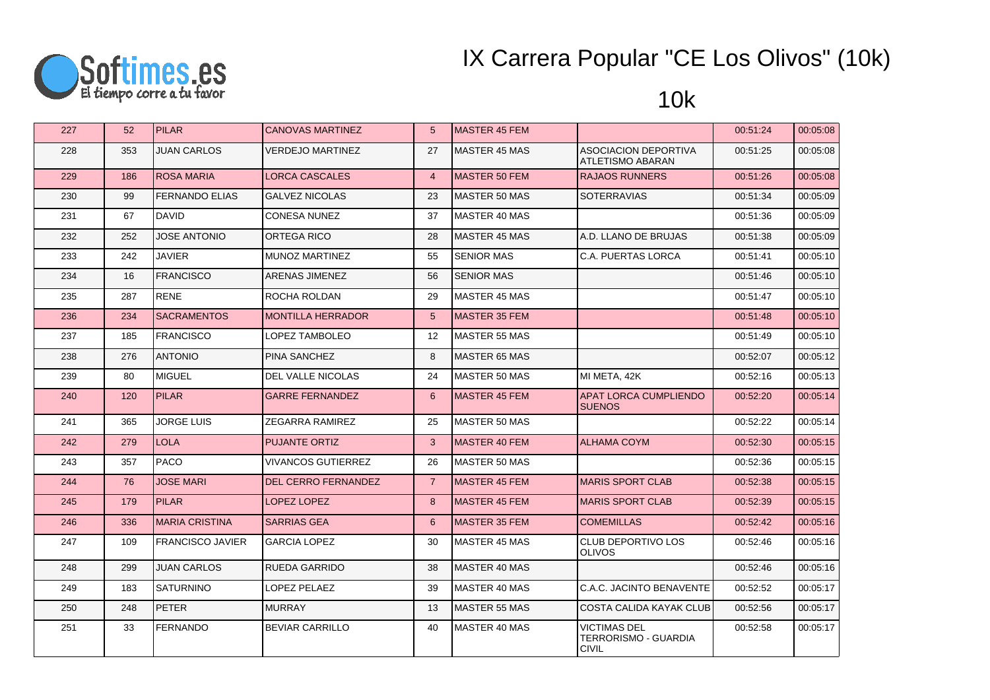

| 227 | 52  | <b>PILAR</b>            | <b>CANOVAS MARTINEZ</b>    | $5\overline{)}$   | <b>MASTER 45 FEM</b> |                                                             | 00:51:24 | 00:05:08 |
|-----|-----|-------------------------|----------------------------|-------------------|----------------------|-------------------------------------------------------------|----------|----------|
| 228 | 353 | <b>JUAN CARLOS</b>      | <b>VERDEJO MARTINEZ</b>    | 27                | <b>MASTER 45 MAS</b> | ASOCIACION DEPORTIVA<br>ATLETISMO ABARAN                    | 00:51:25 | 00:05:08 |
| 229 | 186 | <b>ROSA MARIA</b>       | <b>LORCA CASCALES</b>      | $\overline{4}$    | <b>MASTER 50 FEM</b> | <b>RAJAOS RUNNERS</b>                                       | 00:51:26 | 00:05:08 |
| 230 | 99  | <b>FERNANDO ELIAS</b>   | <b>GALVEZ NICOLAS</b>      | 23                | <b>MASTER 50 MAS</b> | <b>SOTERRAVIAS</b>                                          | 00:51:34 | 00:05:09 |
| 231 | 67  | <b>DAVID</b>            | <b>CONESA NUNEZ</b>        | 37                | MASTER 40 MAS        |                                                             | 00:51:36 | 00:05:09 |
| 232 | 252 | <b>JOSE ANTONIO</b>     | <b>ORTEGA RICO</b>         | 28                | <b>MASTER 45 MAS</b> | A.D. LLANO DE BRUJAS                                        | 00:51:38 | 00:05:09 |
| 233 | 242 | <b>JAVIER</b>           | <b>MUNOZ MARTINEZ</b>      | 55                | <b>SENIOR MAS</b>    | C.A. PUERTAS LORCA                                          | 00:51:41 | 00:05:10 |
| 234 | 16  | <b>FRANCISCO</b>        | ARENAS JIMENEZ             | 56                | <b>SENIOR MAS</b>    |                                                             | 00:51:46 | 00:05:10 |
| 235 | 287 | <b>RENE</b>             | ROCHA ROLDAN               | 29                | <b>MASTER 45 MAS</b> |                                                             | 00:51:47 | 00:05:10 |
| 236 | 234 | <b>SACRAMENTOS</b>      | <b>MONTILLA HERRADOR</b>   | 5                 | <b>MASTER 35 FEM</b> |                                                             | 00:51:48 | 00:05:10 |
| 237 | 185 | <b>FRANCISCO</b>        | LOPEZ TAMBOLEO             | $12 \overline{ }$ | <b>MASTER 55 MAS</b> |                                                             | 00:51:49 | 00:05:10 |
| 238 | 276 | <b>ANTONIO</b>          | PINA SANCHEZ               | 8                 | <b>MASTER 65 MAS</b> |                                                             | 00:52:07 | 00:05:12 |
| 239 | 80  | MIGUEL                  | <b>DEL VALLE NICOLAS</b>   | 24                | <b>MASTER 50 MAS</b> | MI META, 42K                                                | 00:52:16 | 00:05:13 |
| 240 | 120 | <b>PILAR</b>            | <b>GARRE FERNANDEZ</b>     | 6                 | <b>MASTER 45 FEM</b> | APAT LORCA CUMPLIENDO<br><b>SUENOS</b>                      | 00:52:20 | 00:05:14 |
| 241 | 365 | <b>JORGE LUIS</b>       | ZEGARRA RAMIREZ            | 25                | <b>MASTER 50 MAS</b> |                                                             | 00:52:22 | 00:05:14 |
| 242 | 279 | <b>LOLA</b>             | <b>PUJANTE ORTIZ</b>       | 3                 | MASTER 40 FEM        | <b>ALHAMA COYM</b>                                          | 00:52:30 | 00:05:15 |
| 243 | 357 | PACO                    | <b>VIVANCOS GUTIERREZ</b>  | 26                | <b>MASTER 50 MAS</b> |                                                             | 00:52:36 | 00:05:15 |
| 244 | 76  | <b>JOSE MARI</b>        | <b>DEL CERRO FERNANDEZ</b> | $\overline{7}$    | <b>MASTER 45 FEM</b> | <b>MARIS SPORT CLAB</b>                                     | 00:52:38 | 00:05:15 |
| 245 | 179 | <b>PILAR</b>            | LOPEZ LOPEZ                | 8                 | <b>MASTER 45 FEM</b> | <b>MARIS SPORT CLAB</b>                                     | 00:52:39 | 00:05:15 |
| 246 | 336 | <b>MARIA CRISTINA</b>   | <b>SARRIAS GEA</b>         | 6                 | <b>MASTER 35 FEM</b> | <b>COMEMILLAS</b>                                           | 00:52:42 | 00:05:16 |
| 247 | 109 | <b>FRANCISCO JAVIER</b> | <b>GARCIA LOPEZ</b>        | 30                | <b>MASTER 45 MAS</b> | CLUB DEPORTIVO LOS<br><b>OLIVOS</b>                         | 00:52:46 | 00:05:16 |
| 248 | 299 | <b>JUAN CARLOS</b>      | <b>RUEDA GARRIDO</b>       | 38                | MASTER 40 MAS        |                                                             | 00:52:46 | 00:05:16 |
| 249 | 183 | SATURNINO               | LOPEZ PELAEZ               | 39                | MASTER 40 MAS        | C.A.C. JACINTO BENAVENTE                                    | 00:52:52 | 00:05:17 |
| 250 | 248 | PETER                   | <b>MURRAY</b>              | 13                | <b>MASTER 55 MAS</b> | COSTA CALIDA KAYAK CLUB                                     | 00:52:56 | 00:05:17 |
| 251 | 33  | <b>FERNANDO</b>         | <b>BEVIAR CARRILLO</b>     | 40                | MASTER 40 MAS        | <b>VICTIMAS DEL</b><br>TERRORISMO - GUARDIA<br><b>CIVIL</b> | 00:52:58 | 00:05:17 |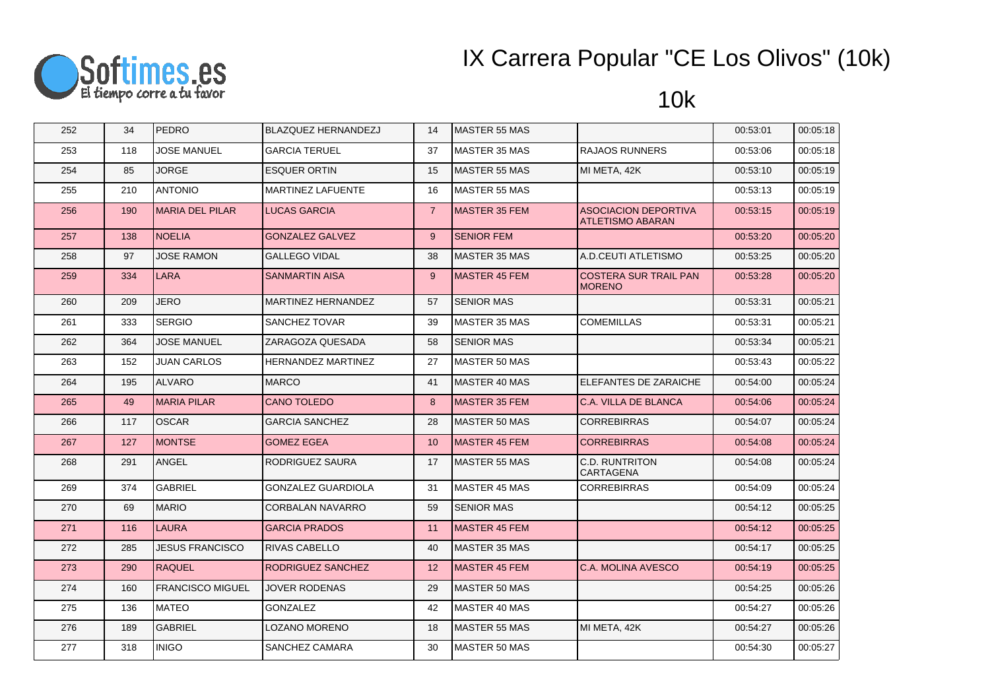

| 252 | 34  | <b>PEDRO</b>            | <b>BLAZQUEZ HERNANDEZJ</b> | 14             | <b>MASTER 55 MAS</b> |                                                        | 00:53:01 | 00:05:18 |
|-----|-----|-------------------------|----------------------------|----------------|----------------------|--------------------------------------------------------|----------|----------|
| 253 | 118 | <b>JOSE MANUEL</b>      | <b>GARCIA TERUEL</b>       | 37             | <b>MASTER 35 MAS</b> | <b>RAJAOS RUNNERS</b>                                  | 00:53:06 | 00:05:18 |
| 254 | 85  | <b>JORGE</b>            | <b>ESQUER ORTIN</b>        | 15             | <b>MASTER 55 MAS</b> | MI META, 42K                                           | 00:53:10 | 00:05:19 |
| 255 | 210 | <b>ANTONIO</b>          | MARTINEZ LAFUENTE          | 16             | <b>MASTER 55 MAS</b> |                                                        | 00:53:13 | 00:05:19 |
| 256 | 190 | <b>MARIA DEL PILAR</b>  | <b>LUCAS GARCIA</b>        | $\overline{7}$ | <b>MASTER 35 FEM</b> | <b>ASOCIACION DEPORTIVA</b><br><b>ATLETISMO ABARAN</b> | 00:53:15 | 00:05:19 |
| 257 | 138 | <b>NOELIA</b>           | <b>GONZALEZ GALVEZ</b>     | 9              | <b>SENIOR FEM</b>    |                                                        | 00:53:20 | 00:05:20 |
| 258 | 97  | <b>JOSE RAMON</b>       | <b>GALLEGO VIDAL</b>       | 38             | <b>MASTER 35 MAS</b> | A.D.CEUTI ATLETISMO                                    | 00:53:25 | 00:05:20 |
| 259 | 334 | <b>LARA</b>             | <b>SANMARTIN AISA</b>      | 9              | <b>MASTER 45 FEM</b> | <b>COSTERA SUR TRAIL PAN</b><br><b>MORENO</b>          | 00:53:28 | 00:05:20 |
| 260 | 209 | JERO                    | <b>MARTINEZ HERNANDEZ</b>  | 57             | <b>SENIOR MAS</b>    |                                                        | 00:53:31 | 00:05:21 |
| 261 | 333 | <b>SERGIO</b>           | <b>SANCHEZ TOVAR</b>       | 39             | <b>MASTER 35 MAS</b> | <b>COMEMILLAS</b>                                      | 00:53:31 | 00:05:21 |
| 262 | 364 | <b>JOSE MANUEL</b>      | ZARAGOZA QUESADA           | 58             | <b>SENIOR MAS</b>    |                                                        | 00:53:34 | 00:05:21 |
| 263 | 152 | <b>JUAN CARLOS</b>      | <b>HERNANDEZ MARTINEZ</b>  | 27             | MASTER 50 MAS        |                                                        | 00:53:43 | 00:05:22 |
| 264 | 195 | <b>ALVARO</b>           | <b>MARCO</b>               | 41             | MASTER 40 MAS        | ELEFANTES DE ZARAICHE                                  | 00:54:00 | 00:05:24 |
| 265 | 49  | <b>MARIA PILAR</b>      | <b>CANO TOLEDO</b>         | 8              | <b>MASTER 35 FEM</b> | C.A. VILLA DE BLANCA                                   | 00:54:06 | 00:05:24 |
| 266 | 117 | <b>OSCAR</b>            | <b>GARCIA SANCHEZ</b>      | 28             | MASTER 50 MAS        | <b>CORREBIRRAS</b>                                     | 00:54:07 | 00:05:24 |
| 267 | 127 | <b>MONTSE</b>           | <b>GOMEZ EGEA</b>          | 10             | <b>MASTER 45 FEM</b> | <b>CORREBIRRAS</b>                                     | 00:54:08 | 00:05:24 |
| 268 | 291 | <b>ANGEL</b>            | RODRIGUEZ SAURA            | 17             | <b>MASTER 55 MAS</b> | C.D. RUNTRITON<br><b>CARTAGENA</b>                     | 00:54:08 | 00:05:24 |
| 269 | 374 | <b>GABRIEL</b>          | <b>GONZALEZ GUARDIOLA</b>  | 31             | <b>MASTER 45 MAS</b> | <b>CORREBIRRAS</b>                                     | 00:54:09 | 00:05:24 |
| 270 | 69  | <b>MARIO</b>            | <b>CORBALAN NAVARRO</b>    | 59             | <b>SENIOR MAS</b>    |                                                        | 00:54:12 | 00:05:25 |
| 271 | 116 | <b>LAURA</b>            | <b>GARCIA PRADOS</b>       | 11             | <b>MASTER 45 FEM</b> |                                                        | 00:54:12 | 00:05:25 |
| 272 | 285 | <b>JESUS FRANCISCO</b>  | RIVAS CABELLO              | 40             | <b>MASTER 35 MAS</b> |                                                        | 00:54:17 | 00:05:25 |
| 273 | 290 | <b>RAQUEL</b>           | RODRIGUEZ SANCHEZ          | 12             | <b>MASTER 45 FEM</b> | <b>C.A. MOLINA AVESCO</b>                              | 00:54:19 | 00:05:25 |
| 274 | 160 | <b>FRANCISCO MIGUEL</b> | <b>JOVER RODENAS</b>       | 29             | MASTER 50 MAS        |                                                        | 00:54:25 | 00:05:26 |
| 275 | 136 | <b>MATEO</b>            | <b>GONZALEZ</b>            | 42             | MASTER 40 MAS        |                                                        | 00:54:27 | 00:05:26 |
| 276 | 189 | <b>GABRIEL</b>          | LOZANO MORENO              | 18             | <b>MASTER 55 MAS</b> | MI META, 42K                                           | 00:54:27 | 00:05:26 |
| 277 | 318 | <b>INIGO</b>            | SANCHEZ CAMARA             | 30             | MASTER 50 MAS        |                                                        | 00:54:30 | 00:05:27 |
|     |     |                         |                            |                |                      |                                                        |          |          |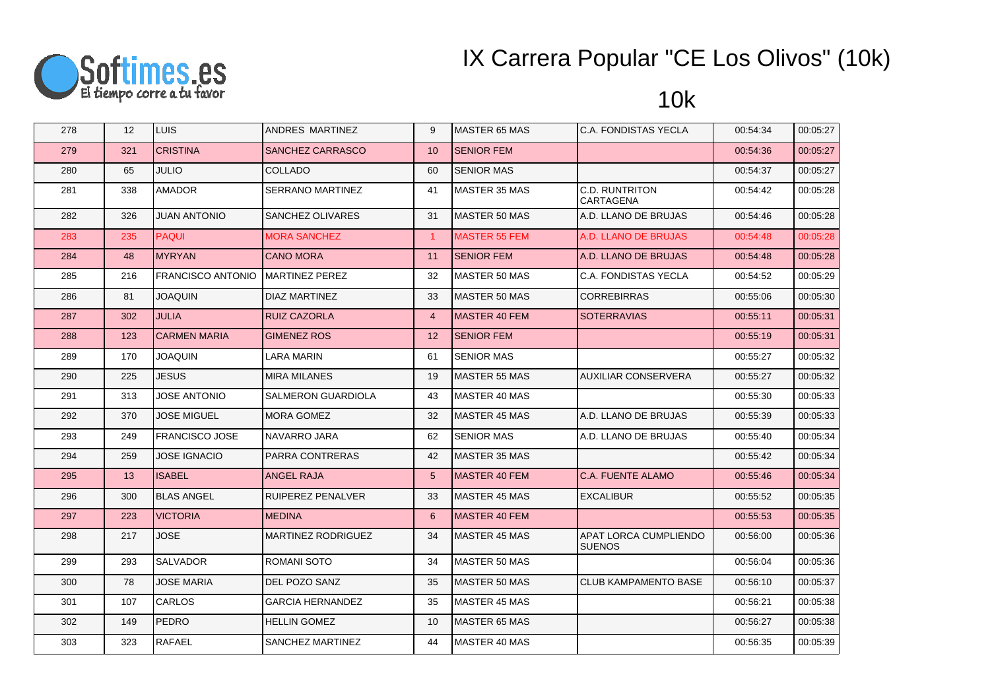

| 278 | 12  | <b>LUIS</b>              | ANDRES MARTINEZ          | 9                 | <b>MASTER 65 MAS</b> | C.A. FONDISTAS YECLA                   | 00:54:34 | 00:05:27 |
|-----|-----|--------------------------|--------------------------|-------------------|----------------------|----------------------------------------|----------|----------|
| 279 | 321 | <b>CRISTINA</b>          | SANCHEZ CARRASCO         | 10                | <b>SENIOR FEM</b>    |                                        | 00:54:36 | 00:05:27 |
| 280 | 65  | <b>JULIO</b>             | <b>COLLADO</b>           | 60                | <b>SENIOR MAS</b>    |                                        | 00:54:37 | 00:05:27 |
| 281 | 338 | <b>AMADOR</b>            | SERRANO MARTINEZ         | 41                | <b>MASTER 35 MAS</b> | C.D. RUNTRITON<br>CARTAGENA            | 00:54:42 | 00:05:28 |
| 282 | 326 | <b>JUAN ANTONIO</b>      | SANCHEZ OLIVARES         | 31                | <b>MASTER 50 MAS</b> | A.D. LLANO DE BRUJAS                   | 00:54:46 | 00:05:28 |
| 283 | 235 | <b>PAQUI</b>             | <b>MORA SANCHEZ</b>      | $\mathbf{1}$      | <b>MASTER 55 FEM</b> | A.D. LLANO DE BRUJAS                   | 00:54:48 | 00:05:28 |
| 284 | 48  | <b>MYRYAN</b>            | <b>CANO MORA</b>         | 11                | <b>SENIOR FEM</b>    | A.D. LLANO DE BRUJAS                   | 00:54:48 | 00:05:28 |
| 285 | 216 | <b>FRANCISCO ANTONIO</b> | <b>MARTINEZ PEREZ</b>    | 32                | <b>MASTER 50 MAS</b> | C.A. FONDISTAS YECLA                   | 00:54:52 | 00:05:29 |
| 286 | 81  | <b>JOAQUIN</b>           | <b>DIAZ MARTINEZ</b>     | 33                | <b>MASTER 50 MAS</b> | <b>CORREBIRRAS</b>                     | 00:55:06 | 00:05:30 |
| 287 | 302 | <b>JULIA</b>             | <b>RUIZ CAZORLA</b>      | $\overline{4}$    | <b>MASTER 40 FEM</b> | <b>SOTERRAVIAS</b>                     | 00:55:11 | 00:05:31 |
| 288 | 123 | <b>CARMEN MARIA</b>      | <b>GIMENEZ ROS</b>       | $12 \overline{ }$ | <b>SENIOR FEM</b>    |                                        | 00:55:19 | 00:05:31 |
| 289 | 170 | <b>JOAQUIN</b>           | LARA MARIN               | 61                | <b>SENIOR MAS</b>    |                                        | 00:55:27 | 00:05:32 |
| 290 | 225 | <b>JESUS</b>             | <b>MIRA MILANES</b>      | 19                | <b>MASTER 55 MAS</b> | <b>AUXILIAR CONSERVERA</b>             | 00:55:27 | 00:05:32 |
| 291 | 313 | <b>JOSE ANTONIO</b>      | SALMERON GUARDIOLA       | 43                | <b>MASTER 40 MAS</b> |                                        | 00:55:30 | 00:05:33 |
| 292 | 370 | <b>JOSE MIGUEL</b>       | MORA GOMEZ               | 32                | <b>MASTER 45 MAS</b> | A.D. LLANO DE BRUJAS                   | 00:55:39 | 00:05:33 |
| 293 | 249 | <b>FRANCISCO JOSE</b>    | NAVARRO JARA             | 62                | <b>SENIOR MAS</b>    | A.D. LLANO DE BRUJAS                   | 00:55:40 | 00:05:34 |
| 294 | 259 | <b>JOSE IGNACIO</b>      | <b>PARRA CONTRERAS</b>   | 42                | <b>MASTER 35 MAS</b> |                                        | 00:55:42 | 00:05:34 |
| 295 | 13  | <b>ISABEL</b>            | <b>ANGEL RAJA</b>        | 5 <sup>5</sup>    | MASTER 40 FEM        | <b>C.A. FUENTE ALAMO</b>               | 00:55:46 | 00:05:34 |
| 296 | 300 | <b>BLAS ANGEL</b>        | <b>RUIPEREZ PENALVER</b> | 33                | <b>MASTER 45 MAS</b> | <b>EXCALIBUR</b>                       | 00:55:52 | 00:05:35 |
| 297 | 223 | <b>VICTORIA</b>          | <b>MEDINA</b>            | 6                 | <b>MASTER 40 FEM</b> |                                        | 00:55:53 | 00:05:35 |
| 298 | 217 | JOSE                     | MARTINEZ RODRIGUEZ       | 34                | <b>MASTER 45 MAS</b> | APAT LORCA CUMPLIENDO<br><b>SUENOS</b> | 00:56:00 | 00:05:36 |
| 299 | 293 | <b>SALVADOR</b>          | <b>ROMANI SOTO</b>       | 34                | <b>MASTER 50 MAS</b> |                                        | 00:56:04 | 00:05:36 |
| 300 | 78  | <b>JOSE MARIA</b>        | DEL POZO SANZ            | 35                | <b>MASTER 50 MAS</b> | <b>CLUB KAMPAMENTO BASE</b>            | 00:56:10 | 00:05:37 |
| 301 | 107 | <b>CARLOS</b>            | <b>GARCIA HERNANDEZ</b>  | 35                | MASTER 45 MAS        |                                        | 00:56:21 | 00:05:38 |
| 302 | 149 | PEDRO                    | <b>HELLIN GOMEZ</b>      | 10 <sup>1</sup>   | <b>MASTER 65 MAS</b> |                                        | 00:56:27 | 00:05:38 |
| 303 | 323 | <b>RAFAEL</b>            | SANCHEZ MARTINEZ         | 44                | <b>MASTER 40 MAS</b> |                                        | 00:56:35 | 00:05:39 |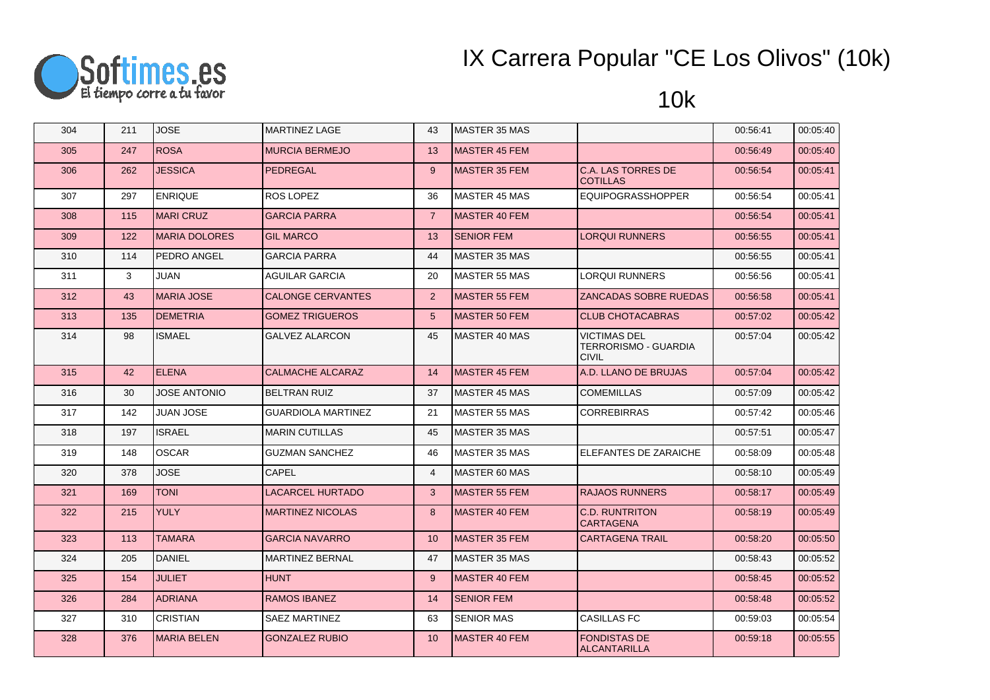

| 304 | 211 | <b>JOSE</b>          | <b>MARTINEZ LAGE</b>      | 43              | MASTER 35 MAS         |                                                             | 00:56:41 | 00:05:40 |
|-----|-----|----------------------|---------------------------|-----------------|-----------------------|-------------------------------------------------------------|----------|----------|
| 305 | 247 | <b>ROSA</b>          | <b>MURCIA BERMEJO</b>     | 13              | <b>MASTER 45 FEM</b>  |                                                             | 00:56:49 | 00:05:40 |
| 306 | 262 | <b>JESSICA</b>       | <b>PEDREGAL</b>           | 9               | <b>MASTER 35 FEM</b>  | <b>C.A. LAS TORRES DE</b><br><b>COTILLAS</b>                | 00:56:54 | 00:05:41 |
| 307 | 297 | <b>ENRIQUE</b>       | ROS LOPEZ                 | 36              | MASTER 45 MAS         | <b>EQUIPOGRASSHOPPER</b>                                    | 00:56:54 | 00:05:41 |
| 308 | 115 | <b>MARI CRUZ</b>     | <b>GARCIA PARRA</b>       | $\overline{7}$  | IMASTER 40 FEM        |                                                             | 00:56:54 | 00:05:41 |
| 309 | 122 | <b>MARIA DOLORES</b> | <b>GIL MARCO</b>          | 13              | <b>SENIOR FEM</b>     | LORQUI RUNNERS                                              | 00:56:55 | 00:05:41 |
| 310 | 114 | PEDRO ANGEL          | <b>GARCIA PARRA</b>       | 44              | MASTER 35 MAS         |                                                             | 00:56:55 | 00:05:41 |
| 311 | 3   | JUAN                 | <b>AGUILAR GARCIA</b>     | 20              | <b>MASTER 55 MAS</b>  | LORQUI RUNNERS                                              | 00:56:56 | 00:05:41 |
| 312 | 43  | <b>MARIA JOSE</b>    | <b>CALONGE CERVANTES</b>  | $\overline{2}$  | <b>IMASTER 55 FEM</b> | ZANCADAS SOBRE RUEDAS                                       | 00:56:58 | 00:05:41 |
| 313 | 135 | <b>DEMETRIA</b>      | <b>GOMEZ TRIGUEROS</b>    | 5 <sup>5</sup>  | <b>MASTER 50 FEM</b>  | <b>CLUB CHOTACABRAS</b>                                     | 00:57:02 | 00:05:42 |
| 314 | 98  | <b>ISMAEL</b>        | <b>GALVEZ ALARCON</b>     | 45              | MASTER 40 MAS         | <b>VICTIMAS DEL</b><br>TERRORISMO - GUARDIA<br><b>CIVIL</b> | 00:57:04 | 00:05:42 |
| 315 | 42  | <b>ELENA</b>         | CALMACHE ALCARAZ          | 14              | MASTER 45 FEM         | A.D. LLANO DE BRUJAS                                        | 00:57:04 | 00:05:42 |
| 316 | 30  | <b>JOSE ANTONIO</b>  | <b>BELTRAN RUIZ</b>       | 37              | <b>IMASTER 45 MAS</b> | <b>COMEMILLAS</b>                                           | 00:57:09 | 00:05:42 |
| 317 | 142 | JUAN JOSE            | <b>GUARDIOLA MARTINEZ</b> | 21              | <b>MASTER 55 MAS</b>  | <b>CORREBIRRAS</b>                                          | 00:57:42 | 00:05:46 |
| 318 | 197 | <b>ISRAEL</b>        | <b>MARIN CUTILLAS</b>     | 45              | <b>MASTER 35 MAS</b>  |                                                             | 00:57:51 | 00:05:47 |
| 319 | 148 | OSCAR                | <b>GUZMAN SANCHEZ</b>     | 46              | MASTER 35 MAS         | <b>ELEFANTES DE ZARAICHE</b>                                | 00:58:09 | 00:05:48 |
| 320 | 378 | <b>JOSE</b>          | <b>CAPEL</b>              | $\overline{4}$  | MASTER 60 MAS         |                                                             | 00:58:10 | 00:05:49 |
| 321 | 169 | <b>TONI</b>          | LACARCEL HURTADO          | 3               | <b>MASTER 55 FEM</b>  | <b>RAJAOS RUNNERS</b>                                       | 00:58:17 | 00:05:49 |
| 322 | 215 | YULY                 | <b>MARTINEZ NICOLAS</b>   | 8               | <b>MASTER 40 FEM</b>  | <b>C.D. RUNTRITON</b><br><b>CARTAGENA</b>                   | 00:58:19 | 00:05:49 |
| 323 | 113 | <b>TAMARA</b>        | <b>GARCIA NAVARRO</b>     | 10 <sup>1</sup> | <b>MASTER 35 FEM</b>  | <b>CARTAGENA TRAIL</b>                                      | 00:58:20 | 00:05:50 |
| 324 | 205 | <b>DANIEL</b>        | <b>MARTINEZ BERNAL</b>    | 47              | MASTER 35 MAS         |                                                             | 00:58:43 | 00:05:52 |
| 325 | 154 | <b>JULIET</b>        | <b>HUNT</b>               | $9^{\circ}$     | <b>IMASTER 40 FEM</b> |                                                             | 00:58:45 | 00:05:52 |
| 326 | 284 | <b>ADRIANA</b>       | <b>RAMOS IBANEZ</b>       | 14              | <b>SENIOR FEM</b>     |                                                             | 00:58:48 | 00:05:52 |
| 327 | 310 | <b>CRISTIAN</b>      | <b>SAEZ MARTINEZ</b>      | 63              | <b>SENIOR MAS</b>     | <b>CASILLAS FC</b>                                          | 00:59:03 | 00:05:54 |
| 328 | 376 | <b>MARIA BELEN</b>   | <b>GONZALEZ RUBIO</b>     | 10 <sup>°</sup> | <b>MASTER 40 FEM</b>  | <b>FONDISTAS DE</b><br><b>ALCANTARILLA</b>                  | 00:59:18 | 00:05:55 |